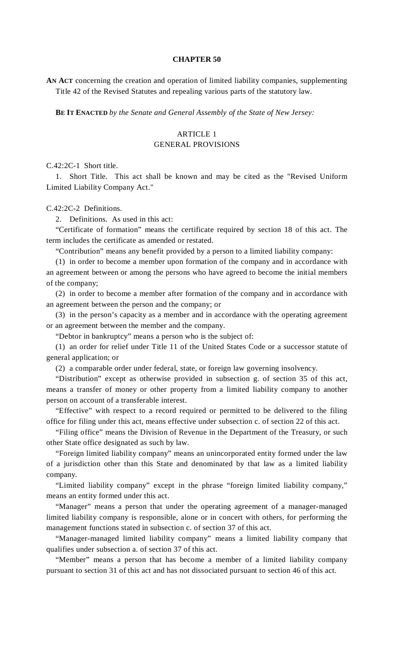### **CHAPTER 50**

**AN ACT** concerning the creation and operation of limited liability companies, supplementing Title 42 of the Revised Statutes and repealing various parts of the statutory law.

**BE IT ENACTED** *by the Senate and General Assembly of the State of New Jersey:*

## ARTICLE 1 GENERAL PROVISIONS

C.42:2C-1 Short title.

 1. Short Title. This act shall be known and may be cited as the "Revised Uniform Limited Liability Company Act."

#### C.42:2C-2 Definitions.

2. Definitions. As used in this act:

 "Certificate of formation" means the certificate required by section 18 of this act. The term includes the certificate as amended or restated.

"Contribution" means any benefit provided by a person to a limited liability company:

 (1) in order to become a member upon formation of the company and in accordance with an agreement between or among the persons who have agreed to become the initial members of the company;

 (2) in order to become a member after formation of the company and in accordance with an agreement between the person and the company; or

 (3) in the person's capacity as a member and in accordance with the operating agreement or an agreement between the member and the company.

"Debtor in bankruptcy" means a person who is the subject of:

 (1) an order for relief under Title 11 of the United States Code or a successor statute of general application; or

(2) a comparable order under federal, state, or foreign law governing insolvency.

 "Distribution" except as otherwise provided in subsection g. of section 35 of this act, means a transfer of money or other property from a limited liability company to another person on account of a transferable interest.

 "Effective" with respect to a record required or permitted to be delivered to the filing office for filing under this act, means effective under subsection c. of section 22 of this act.

 "Filing office" means the Division of Revenue in the Department of the Treasury, or such other State office designated as such by law.

 "Foreign limited liability company" means an unincorporated entity formed under the law of a jurisdiction other than this State and denominated by that law as a limited liability company.

 "Limited liability company" except in the phrase "foreign limited liability company," means an entity formed under this act.

"Manager" means a person that under the operating agreement of a manager-managed limited liability company is responsible, alone or in concert with others, for performing the management functions stated in subsection c. of section 37 of this act.

 "Manager-managed limited liability company" means a limited liability company that qualifies under subsection a. of section 37 of this act.

 "Member" means a person that has become a member of a limited liability company pursuant to section 31 of this act and has not dissociated pursuant to section 46 of this act.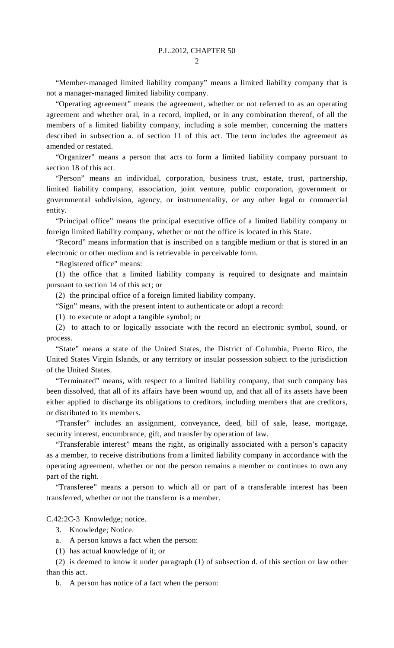$\mathcal{L}$ 

 "Member-managed limited liability company" means a limited liability company that is not a manager-managed limited liability company.

 "Operating agreement" means the agreement, whether or not referred to as an operating agreement and whether oral, in a record, implied, or in any combination thereof, of all the members of a limited liability company, including a sole member, concerning the matters described in subsection a. of section 11 of this act. The term includes the agreement as amended or restated.

 "Organizer" means a person that acts to form a limited liability company pursuant to section 18 of this act.

 "Person" means an individual, corporation, business trust, estate, trust, partnership, limited liability company, association, joint venture, public corporation, government or governmental subdivision, agency, or instrumentality, or any other legal or commercial entity.

 "Principal office" means the principal executive office of a limited liability company or foreign limited liability company, whether or not the office is located in this State.

 "Record" means information that is inscribed on a tangible medium or that is stored in an electronic or other medium and is retrievable in perceivable form.

"Registered office" means:

 (1) the office that a limited liability company is required to designate and maintain pursuant to section 14 of this act; or

(2) the principal office of a foreign limited liability company.

"Sign" means, with the present intent to authenticate or adopt a record:

(1) to execute or adopt a tangible symbol; or

 (2) to attach to or logically associate with the record an electronic symbol, sound, or process.

 "State" means a state of the United States, the District of Columbia, Puerto Rico, the United States Virgin Islands, or any territory or insular possession subject to the jurisdiction of the United States.

 "Terminated" means, with respect to a limited liability company, that such company has been dissolved, that all of its affairs have been wound up, and that all of its assets have been either applied to discharge its obligations to creditors, including members that are creditors, or distributed to its members.

 "Transfer" includes an assignment, conveyance, deed, bill of sale, lease, mortgage, security interest, encumbrance, gift, and transfer by operation of law.

 "Transferable interest" means the right, as originally associated with a person's capacity as a member, to receive distributions from a limited liability company in accordance with the operating agreement, whether or not the person remains a member or continues to own any part of the right.

 "Transferee" means a person to which all or part of a transferable interest has been transferred, whether or not the transferor is a member.

C.42:2C-3 Knowledge; notice.

- 3. Knowledge; Notice.
- a. A person knows a fact when the person:
- (1) has actual knowledge of it; or

 (2) is deemed to know it under paragraph (1) of subsection d. of this section or law other than this act.

b. A person has notice of a fact when the person: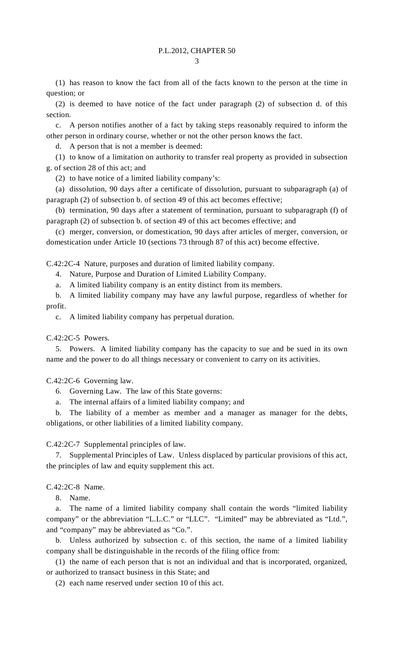(1) has reason to know the fact from all of the facts known to the person at the time in question; or

 (2) is deemed to have notice of the fact under paragraph (2) of subsection d. of this section.

 c. A person notifies another of a fact by taking steps reasonably required to inform the other person in ordinary course, whether or not the other person knows the fact.

A person that is not a member is deemed:

 (1) to know of a limitation on authority to transfer real property as provided in subsection g. of section 28 of this act; and

(2) to have notice of a limited liability company's:

 (a) dissolution, 90 days after a certificate of dissolution, pursuant to subparagraph (a) of paragraph (2) of subsection b. of section 49 of this act becomes effective;

 (b) termination, 90 days after a statement of termination, pursuant to subparagraph (f) of paragraph (2) of subsection b. of section 49 of this act becomes effective; and

 (c) merger, conversion, or domestication, 90 days after articles of merger, conversion, or domestication under Article 10 (sections 73 through 87 of this act) become effective.

C.42:2C-4 Nature, purposes and duration of limited liability company.

4. Nature, Purpose and Duration of Limited Liability Company.

a. A limited liability company is an entity distinct from its members.

 b. A limited liability company may have any lawful purpose, regardless of whether for profit.

c. A limited liability company has perpetual duration.

C.42:2C-5 Powers.

 5. Powers. A limited liability company has the capacity to sue and be sued in its own name and the power to do all things necessary or convenient to carry on its activities.

C.42:2C-6 Governing law.

6. Governing Law. The law of this State governs:

a. The internal affairs of a limited liability company; and

 b. The liability of a member as member and a manager as manager for the debts, obligations, or other liabilities of a limited liability company.

C.42:2C-7 Supplemental principles of law.

 7. Supplemental Principles of Law. Unless displaced by particular provisions of this act, the principles of law and equity supplement this act.

C.42:2C-8 Name.

8. Name.

 a. The name of a limited liability company shall contain the words "limited liability company" or the abbreviation "L.L.C." or "LLC". "Limited" may be abbreviated as "Ltd.", and "company" may be abbreviated as "Co.".

 b. Unless authorized by subsection c. of this section, the name of a limited liability company shall be distinguishable in the records of the filing office from:

 (1) the name of each person that is not an individual and that is incorporated, organized, or authorized to transact business in this State; and

(2) each name reserved under section 10 of this act.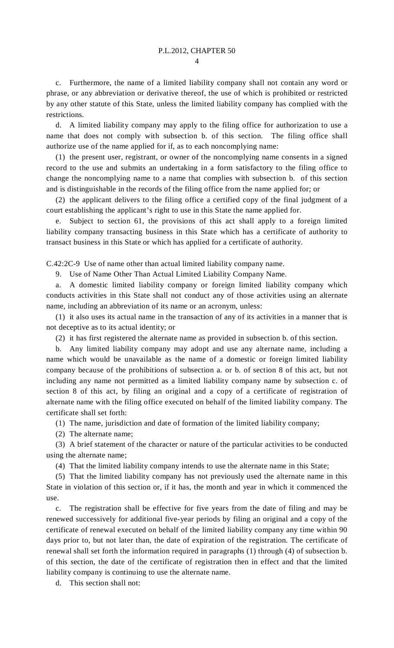$\overline{A}$ 

 c. Furthermore, the name of a limited liability company shall not contain any word or phrase, or any abbreviation or derivative thereof, the use of which is prohibited or restricted by any other statute of this State, unless the limited liability company has complied with the restrictions.

 d. A limited liability company may apply to the filing office for authorization to use a name that does not comply with subsection b. of this section. The filing office shall authorize use of the name applied for if, as to each noncomplying name:

 (1) the present user, registrant, or owner of the noncomplying name consents in a signed record to the use and submits an undertaking in a form satisfactory to the filing office to change the noncomplying name to a name that complies with subsection b. of this section and is distinguishable in the records of the filing office from the name applied for; or

 (2) the applicant delivers to the filing office a certified copy of the final judgment of a court establishing the applicant's right to use in this State the name applied for.

 e. Subject to section 61, the provisions of this act shall apply to a foreign limited liability company transacting business in this State which has a certificate of authority to transact business in this State or which has applied for a certificate of authority.

C.42:2C-9 Use of name other than actual limited liability company name.

9. Use of Name Other Than Actual Limited Liability Company Name.

 a. A domestic limited liability company or foreign limited liability company which conducts activities in this State shall not conduct any of those activities using an alternate name, including an abbreviation of its name or an acronym, unless:

 (1) it also uses its actual name in the transaction of any of its activities in a manner that is not deceptive as to its actual identity; or

(2) it has first registered the alternate name as provided in subsection b. of this section.

 b. Any limited liability company may adopt and use any alternate name, including a name which would be unavailable as the name of a domestic or foreign limited liability company because of the prohibitions of subsection a. or b. of section 8 of this act, but not including any name not permitted as a limited liability company name by subsection c. of section 8 of this act, by filing an original and a copy of a certificate of registration of alternate name with the filing office executed on behalf of the limited liability company. The certificate shall set forth:

(1) The name, jurisdiction and date of formation of the limited liability company;

(2) The alternate name;

 (3) A brief statement of the character or nature of the particular activities to be conducted using the alternate name;

(4) That the limited liability company intends to use the alternate name in this State;

 (5) That the limited liability company has not previously used the alternate name in this State in violation of this section or, if it has, the month and year in which it commenced the use.

 c. The registration shall be effective for five years from the date of filing and may be renewed successively for additional five-year periods by filing an original and a copy of the certificate of renewal executed on behalf of the limited liability company any time within 90 days prior to, but not later than, the date of expiration of the registration. The certificate of renewal shall set forth the information required in paragraphs (1) through (4) of subsection b. of this section, the date of the certificate of registration then in effect and that the limited liability company is continuing to use the alternate name.

d. This section shall not: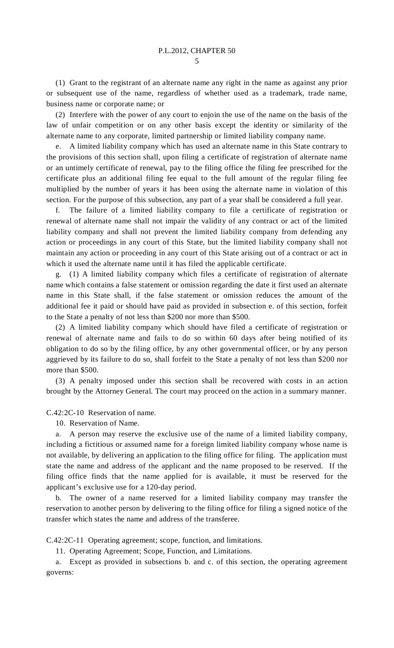(1) Grant to the registrant of an alternate name any right in the name as against any prior or subsequent use of the name, regardless of whether used as a trademark, trade name, business name or corporate name; or

 (2) Interfere with the power of any court to enjoin the use of the name on the basis of the law of unfair competition or on any other basis except the identity or similarity of the alternate name to any corporate, limited partnership or limited liability company name.

 e. A limited liability company which has used an alternate name in this State contrary to the provisions of this section shall, upon filing a certificate of registration of alternate name or an untimely certificate of renewal, pay to the filing office the filing fee prescribed for the certificate plus an additional filing fee equal to the full amount of the regular filing fee multiplied by the number of years it has been using the alternate name in violation of this section. For the purpose of this subsection, any part of a year shall be considered a full year.

 f. The failure of a limited liability company to file a certificate of registration or renewal of alternate name shall not impair the validity of any contract or act of the limited liability company and shall not prevent the limited liability company from defending any action or proceedings in any court of this State, but the limited liability company shall not maintain any action or proceeding in any court of this State arising out of a contract or act in which it used the alternate name until it has filed the applicable certificate.

 g. (1) A limited liability company which files a certificate of registration of alternate name which contains a false statement or omission regarding the date it first used an alternate name in this State shall, if the false statement or omission reduces the amount of the additional fee it paid or should have paid as provided in subsection e. of this section, forfeit to the State a penalty of not less than \$200 nor more than \$500.

 (2) A limited liability company which should have filed a certificate of registration or renewal of alternate name and fails to do so within 60 days after being notified of its obligation to do so by the filing office, by any other governmental officer, or by any person aggrieved by its failure to do so, shall forfeit to the State a penalty of not less than \$200 nor more than \$500.

 (3) A penalty imposed under this section shall be recovered with costs in an action brought by the Attorney General. The court may proceed on the action in a summary manner.

C.42:2C-10 Reservation of name.

10. Reservation of Name.

 a. A person may reserve the exclusive use of the name of a limited liability company, including a fictitious or assumed name for a foreign limited liability company whose name is not available, by delivering an application to the filing office for filing. The application must state the name and address of the applicant and the name proposed to be reserved. If the filing office finds that the name applied for is available, it must be reserved for the applicant's exclusive use for a 120-day period.

 b. The owner of a name reserved for a limited liability company may transfer the reservation to another person by delivering to the filing office for filing a signed notice of the transfer which states the name and address of the transferee.

C.42:2C-11 Operating agreement; scope, function, and limitations.

11. Operating Agreement; Scope, Function, and Limitations.

 a. Except as provided in subsections b. and c. of this section, the operating agreement governs: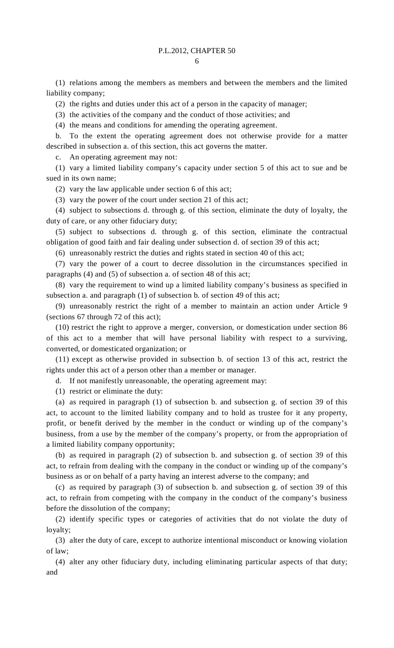(1) relations among the members as members and between the members and the limited liability company;

(2) the rights and duties under this act of a person in the capacity of manager;

(3) the activities of the company and the conduct of those activities; and

(4) the means and conditions for amending the operating agreement.

 b. To the extent the operating agreement does not otherwise provide for a matter described in subsection a. of this section, this act governs the matter.

c. An operating agreement may not:

 (1) vary a limited liability company's capacity under section 5 of this act to sue and be sued in its own name;

(2) vary the law applicable under section 6 of this act;

(3) vary the power of the court under section 21 of this act;

 (4) subject to subsections d. through g. of this section, eliminate the duty of loyalty, the duty of care, or any other fiduciary duty;

 (5) subject to subsections d. through g. of this section, eliminate the contractual obligation of good faith and fair dealing under subsection d. of section 39 of this act;

(6) unreasonably restrict the duties and rights stated in section 40 of this act;

 (7) vary the power of a court to decree dissolution in the circumstances specified in paragraphs (4) and (5) of subsection a. of section 48 of this act;

 (8) vary the requirement to wind up a limited liability company's business as specified in subsection a. and paragraph (1) of subsection b. of section 49 of this act;

 (9) unreasonably restrict the right of a member to maintain an action under Article 9 (sections 67 through 72 of this act);

 (10) restrict the right to approve a merger, conversion, or domestication under section 86 of this act to a member that will have personal liability with respect to a surviving, converted, or domesticated organization; or

 (11) except as otherwise provided in subsection b. of section 13 of this act, restrict the rights under this act of a person other than a member or manager.

d. If not manifestly unreasonable, the operating agreement may:

(1) restrict or eliminate the duty:

 (a) as required in paragraph (1) of subsection b. and subsection g. of section 39 of this act, to account to the limited liability company and to hold as trustee for it any property, profit, or benefit derived by the member in the conduct or winding up of the company's business, from a use by the member of the company's property, or from the appropriation of a limited liability company opportunity;

 (b) as required in paragraph (2) of subsection b. and subsection g. of section 39 of this act, to refrain from dealing with the company in the conduct or winding up of the company's business as or on behalf of a party having an interest adverse to the company; and

 (c) as required by paragraph (3) of subsection b. and subsection g. of section 39 of this act, to refrain from competing with the company in the conduct of the company's business before the dissolution of the company;

 (2) identify specific types or categories of activities that do not violate the duty of loyalty;

 (3) alter the duty of care, except to authorize intentional misconduct or knowing violation of law;

 (4) alter any other fiduciary duty, including eliminating particular aspects of that duty; and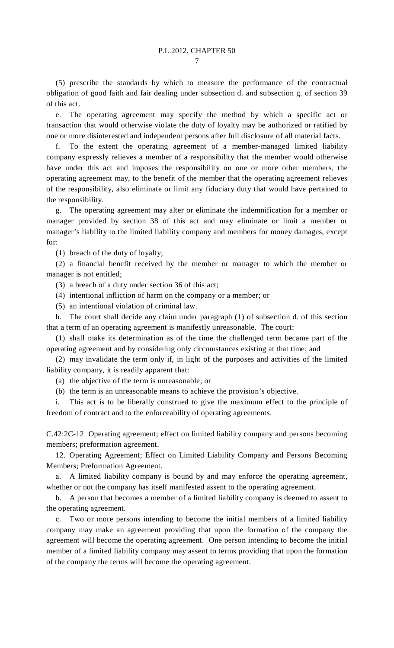(5) prescribe the standards by which to measure the performance of the contractual obligation of good faith and fair dealing under subsection d. and subsection g. of section 39 of this act.

 e. The operating agreement may specify the method by which a specific act or transaction that would otherwise violate the duty of loyalty may be authorized or ratified by one or more disinterested and independent persons after full disclosure of all material facts.

 f. To the extent the operating agreement of a member-managed limited liability company expressly relieves a member of a responsibility that the member would otherwise have under this act and imposes the responsibility on one or more other members, the operating agreement may, to the benefit of the member that the operating agreement relieves of the responsibility, also eliminate or limit any fiduciary duty that would have pertained to the responsibility.

 g. The operating agreement may alter or eliminate the indemnification for a member or manager provided by section 38 of this act and may eliminate or limit a member or manager's liability to the limited liability company and members for money damages, except for:

(1) breach of the duty of loyalty;

 (2) a financial benefit received by the member or manager to which the member or manager is not entitled;

(3) a breach of a duty under section 36 of this act;

(4) intentional infliction of harm on the company or a member; or

(5) an intentional violation of criminal law.

 h. The court shall decide any claim under paragraph (1) of subsection d. of this section that a term of an operating agreement is manifestly unreasonable. The court:

 (1) shall make its determination as of the time the challenged term became part of the operating agreement and by considering only circumstances existing at that time; and

 (2) may invalidate the term only if, in light of the purposes and activities of the limited liability company, it is readily apparent that:

(a) the objective of the term is unreasonable; or

(b) the term is an unreasonable means to achieve the provision's objective.

 i. This act is to be liberally construed to give the maximum effect to the principle of freedom of contract and to the enforceability of operating agreements.

C.42:2C-12 Operating agreement; effect on limited liability company and persons becoming members; preformation agreement.

 12. Operating Agreement; Effect on Limited Liability Company and Persons Becoming Members; Preformation Agreement.

 a. A limited liability company is bound by and may enforce the operating agreement, whether or not the company has itself manifested assent to the operating agreement.

 b. A person that becomes a member of a limited liability company is deemed to assent to the operating agreement.

 c. Two or more persons intending to become the initial members of a limited liability company may make an agreement providing that upon the formation of the company the agreement will become the operating agreement. One person intending to become the initial member of a limited liability company may assent to terms providing that upon the formation of the company the terms will become the operating agreement.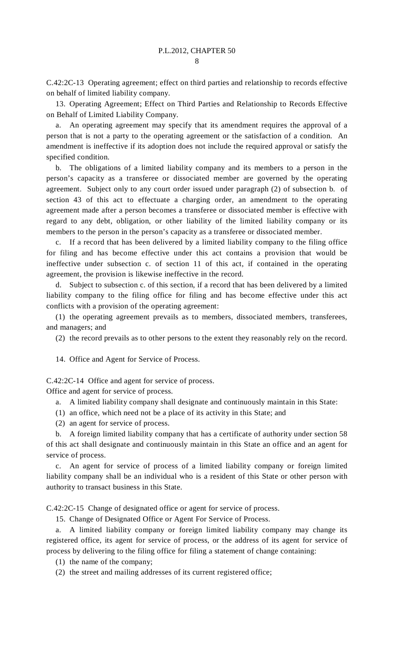C.42:2C-13 Operating agreement; effect on third parties and relationship to records effective on behalf of limited liability company.

 13. Operating Agreement; Effect on Third Parties and Relationship to Records Effective on Behalf of Limited Liability Company.

 a. An operating agreement may specify that its amendment requires the approval of a person that is not a party to the operating agreement or the satisfaction of a condition. An amendment is ineffective if its adoption does not include the required approval or satisfy the specified condition.

 b. The obligations of a limited liability company and its members to a person in the person's capacity as a transferee or dissociated member are governed by the operating agreement. Subject only to any court order issued under paragraph (2) of subsection b. of section 43 of this act to effectuate a charging order, an amendment to the operating agreement made after a person becomes a transferee or dissociated member is effective with regard to any debt, obligation, or other liability of the limited liability company or its members to the person in the person's capacity as a transferee or dissociated member.

 c. If a record that has been delivered by a limited liability company to the filing office for filing and has become effective under this act contains a provision that would be ineffective under subsection c. of section 11 of this act, if contained in the operating agreement, the provision is likewise ineffective in the record.

 d. Subject to subsection c. of this section, if a record that has been delivered by a limited liability company to the filing office for filing and has become effective under this act conflicts with a provision of the operating agreement:

 (1) the operating agreement prevails as to members, dissociated members, transferees, and managers; and

(2) the record prevails as to other persons to the extent they reasonably rely on the record.

14. Office and Agent for Service of Process.

C.42:2C-14 Office and agent for service of process.

Office and agent for service of process.

a. A limited liability company shall designate and continuously maintain in this State:

- (1) an office, which need not be a place of its activity in this State; and
- (2) an agent for service of process.

 b. A foreign limited liability company that has a certificate of authority under section 58 of this act shall designate and continuously maintain in this State an office and an agent for service of process.

An agent for service of process of a limited liability company or foreign limited liability company shall be an individual who is a resident of this State or other person with authority to transact business in this State.

C.42:2C-15 Change of designated office or agent for service of process.

15. Change of Designated Office or Agent For Service of Process.

 a. A limited liability company or foreign limited liability company may change its registered office, its agent for service of process, or the address of its agent for service of process by delivering to the filing office for filing a statement of change containing:

(1) the name of the company;

(2) the street and mailing addresses of its current registered office;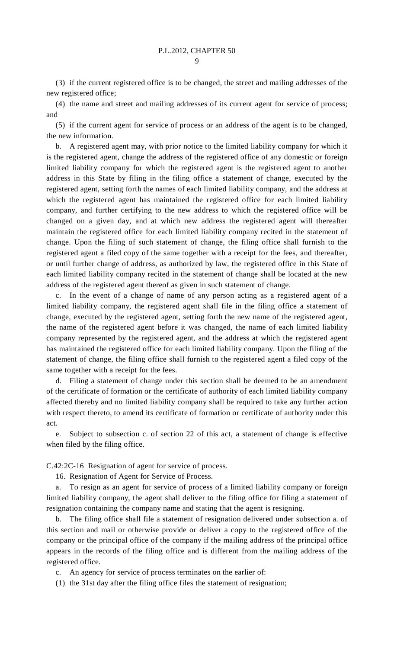$\overline{Q}$ 

 (3) if the current registered office is to be changed, the street and mailing addresses of the new registered office;

 (4) the name and street and mailing addresses of its current agent for service of process; and

 (5) if the current agent for service of process or an address of the agent is to be changed, the new information.

 b. A registered agent may, with prior notice to the limited liability company for which it is the registered agent, change the address of the registered office of any domestic or foreign limited liability company for which the registered agent is the registered agent to another address in this State by filing in the filing office a statement of change, executed by the registered agent, setting forth the names of each limited liability company, and the address at which the registered agent has maintained the registered office for each limited liability company, and further certifying to the new address to which the registered office will be changed on a given day, and at which new address the registered agent will thereafter maintain the registered office for each limited liability company recited in the statement of change. Upon the filing of such statement of change, the filing office shall furnish to the registered agent a filed copy of the same together with a receipt for the fees, and thereafter, or until further change of address, as authorized by law, the registered office in this State of each limited liability company recited in the statement of change shall be located at the new address of the registered agent thereof as given in such statement of change.

 c. In the event of a change of name of any person acting as a registered agent of a limited liability company, the registered agent shall file in the filing office a statement of change, executed by the registered agent, setting forth the new name of the registered agent, the name of the registered agent before it was changed, the name of each limited liability company represented by the registered agent, and the address at which the registered agent has maintained the registered office for each limited liability company. Upon the filing of the statement of change, the filing office shall furnish to the registered agent a filed copy of the same together with a receipt for the fees.

 d. Filing a statement of change under this section shall be deemed to be an amendment of the certificate of formation or the certificate of authority of each limited liability company affected thereby and no limited liability company shall be required to take any further action with respect thereto, to amend its certificate of formation or certificate of authority under this act.

 e. Subject to subsection c. of section 22 of this act, a statement of change is effective when filed by the filing office.

C.42:2C-16 Resignation of agent for service of process.

16. Resignation of Agent for Service of Process.

 a. To resign as an agent for service of process of a limited liability company or foreign limited liability company, the agent shall deliver to the filing office for filing a statement of resignation containing the company name and stating that the agent is resigning.

 b. The filing office shall file a statement of resignation delivered under subsection a. of this section and mail or otherwise provide or deliver a copy to the registered office of the company or the principal office of the company if the mailing address of the principal office appears in the records of the filing office and is different from the mailing address of the registered office.

c. An agency for service of process terminates on the earlier of:

(1) the 31st day after the filing office files the statement of resignation;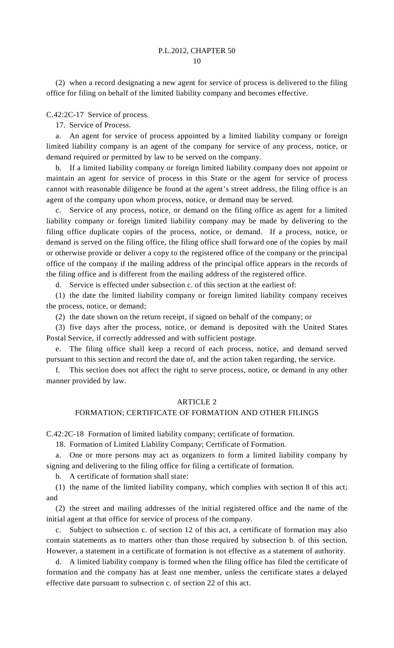(2) when a record designating a new agent for service of process is delivered to the filing office for filing on behalf of the limited liability company and becomes effective.

C.42:2C-17 Service of process.

17. Service of Process.

 a. An agent for service of process appointed by a limited liability company or foreign limited liability company is an agent of the company for service of any process, notice, or demand required or permitted by law to be served on the company.

 b. If a limited liability company or foreign limited liability company does not appoint or maintain an agent for service of process in this State or the agent for service of process cannot with reasonable diligence be found at the agent's street address, the filing office is an agent of the company upon whom process, notice, or demand may be served.

 c. Service of any process, notice, or demand on the filing office as agent for a limited liability company or foreign limited liability company may be made by delivering to the filing office duplicate copies of the process, notice, or demand. If a process, notice, or demand is served on the filing office, the filing office shall forward one of the copies by mail or otherwise provide or deliver a copy to the registered office of the company or the principal office of the company if the mailing address of the principal office appears in the records of the filing office and is different from the mailing address of the registered office.

d. Service is effected under subsection c. of this section at the earliest of:

 (1) the date the limited liability company or foreign limited liability company receives the process, notice, or demand;

(2) the date shown on the return receipt, if signed on behalf of the company; or

 (3) five days after the process, notice, or demand is deposited with the United States Postal Service, if correctly addressed and with sufficient postage.

 e. The filing office shall keep a record of each process, notice, and demand served pursuant to this section and record the date of, and the action taken regarding, the service.

 f. This section does not affect the right to serve process, notice, or demand in any other manner provided by law.

#### ARTICLE 2

#### FORMATION; CERTIFICATE OF FORMATION AND OTHER FILINGS

C.42:2C-18 Formation of limited liability company; certificate of formation.

18. Formation of Limited Liability Company; Certificate of Formation.

 a. One or more persons may act as organizers to form a limited liability company by signing and delivering to the filing office for filing a certificate of formation.

b. A certificate of formation shall state:

 (1) the name of the limited liability company, which complies with section 8 of this act; and

 (2) the street and mailing addresses of the initial registered office and the name of the initial agent at that office for service of process of the company.

 c. Subject to subsection c. of section 12 of this act, a certificate of formation may also contain statements as to matters other than those required by subsection b. of this section. However, a statement in a certificate of formation is not effective as a statement of authority.

 d. A limited liability company is formed when the filing office has filed the certificate of formation and the company has at least one member, unless the certificate states a delayed effective date pursuant to subsection c. of section 22 of this act.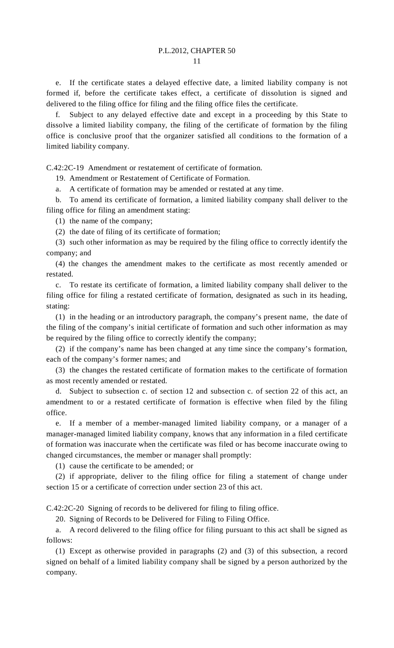e. If the certificate states a delayed effective date, a limited liability company is not formed if, before the certificate takes effect, a certificate of dissolution is signed and delivered to the filing office for filing and the filing office files the certificate.

 f. Subject to any delayed effective date and except in a proceeding by this State to dissolve a limited liability company, the filing of the certificate of formation by the filing office is conclusive proof that the organizer satisfied all conditions to the formation of a limited liability company.

C.42:2C-19 Amendment or restatement of certificate of formation.

19. Amendment or Restatement of Certificate of Formation.

a. A certificate of formation may be amended or restated at any time.

 b. To amend its certificate of formation, a limited liability company shall deliver to the filing office for filing an amendment stating:

(1) the name of the company;

(2) the date of filing of its certificate of formation;

 (3) such other information as may be required by the filing office to correctly identify the company; and

 (4) the changes the amendment makes to the certificate as most recently amended or restated.

 c. To restate its certificate of formation, a limited liability company shall deliver to the filing office for filing a restated certificate of formation, designated as such in its heading, stating:

 (1) in the heading or an introductory paragraph, the company's present name, the date of the filing of the company's initial certificate of formation and such other information as may be required by the filing office to correctly identify the company;

 (2) if the company's name has been changed at any time since the company's formation, each of the company's former names; and

 (3) the changes the restated certificate of formation makes to the certificate of formation as most recently amended or restated.

 d. Subject to subsection c. of section 12 and subsection c. of section 22 of this act, an amendment to or a restated certificate of formation is effective when filed by the filing office.

 e. If a member of a member-managed limited liability company, or a manager of a manager-managed limited liability company, knows that any information in a filed certificate of formation was inaccurate when the certificate was filed or has become inaccurate owing to changed circumstances, the member or manager shall promptly:

(1) cause the certificate to be amended; or

 (2) if appropriate, deliver to the filing office for filing a statement of change under section 15 or a certificate of correction under section 23 of this act.

C.42:2C-20 Signing of records to be delivered for filing to filing office.

20. Signing of Records to be Delivered for Filing to Filing Office.

 a. A record delivered to the filing office for filing pursuant to this act shall be signed as follows:

 (1) Except as otherwise provided in paragraphs (2) and (3) of this subsection, a record signed on behalf of a limited liability company shall be signed by a person authorized by the company.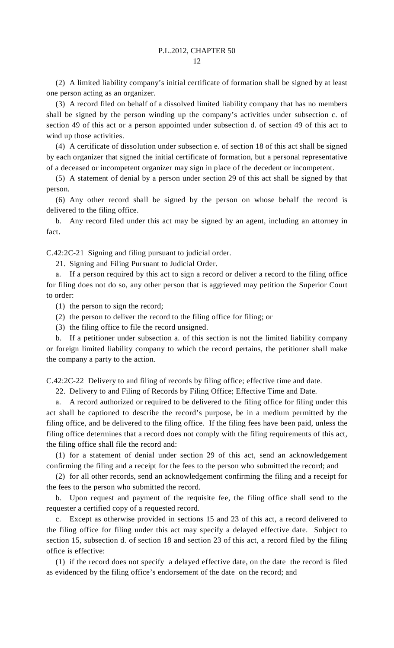(2) A limited liability company's initial certificate of formation shall be signed by at least one person acting as an organizer.

 (3) A record filed on behalf of a dissolved limited liability company that has no members shall be signed by the person winding up the company's activities under subsection c. of section 49 of this act or a person appointed under subsection d. of section 49 of this act to wind up those activities.

 (4) A certificate of dissolution under subsection e. of section 18 of this act shall be signed by each organizer that signed the initial certificate of formation, but a personal representative of a deceased or incompetent organizer may sign in place of the decedent or incompetent.

 (5) A statement of denial by a person under section 29 of this act shall be signed by that person.

 (6) Any other record shall be signed by the person on whose behalf the record is delivered to the filing office.

 b. Any record filed under this act may be signed by an agent, including an attorney in fact.

C.42:2C-21 Signing and filing pursuant to judicial order.

21. Signing and Filing Pursuant to Judicial Order.

 a. If a person required by this act to sign a record or deliver a record to the filing office for filing does not do so, any other person that is aggrieved may petition the Superior Court to order:

(1) the person to sign the record;

(2) the person to deliver the record to the filing office for filing; or

(3) the filing office to file the record unsigned.

 b. If a petitioner under subsection a. of this section is not the limited liability company or foreign limited liability company to which the record pertains, the petitioner shall make the company a party to the action.

C.42:2C-22 Delivery to and filing of records by filing office; effective time and date.

22. Delivery to and Filing of Records by Filing Office; Effective Time and Date.

 a. A record authorized or required to be delivered to the filing office for filing under this act shall be captioned to describe the record's purpose, be in a medium permitted by the filing office, and be delivered to the filing office. If the filing fees have been paid, unless the filing office determines that a record does not comply with the filing requirements of this act, the filing office shall file the record and:

 (1) for a statement of denial under section 29 of this act, send an acknowledgement confirming the filing and a receipt for the fees to the person who submitted the record; and

 (2) for all other records, send an acknowledgement confirming the filing and a receipt for the fees to the person who submitted the record.

 b. Upon request and payment of the requisite fee, the filing office shall send to the requester a certified copy of a requested record.

 c. Except as otherwise provided in sections 15 and 23 of this act, a record delivered to the filing office for filing under this act may specify a delayed effective date. Subject to section 15, subsection d. of section 18 and section 23 of this act, a record filed by the filing office is effective:

 (1) if the record does not specify a delayed effective date, on the date the record is filed as evidenced by the filing office's endorsement of the date on the record; and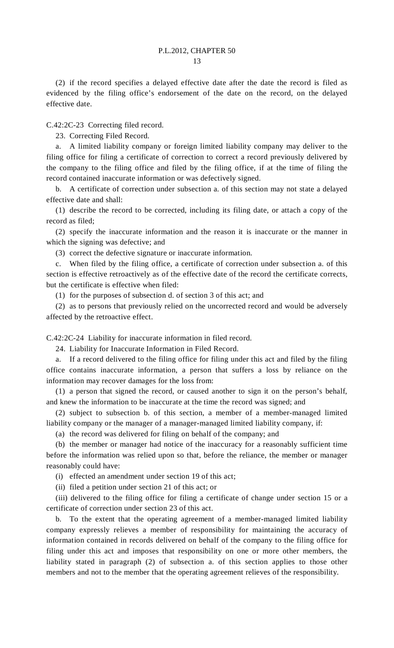(2) if the record specifies a delayed effective date after the date the record is filed as evidenced by the filing office's endorsement of the date on the record, on the delayed effective date.

C.42:2C-23 Correcting filed record.

23. Correcting Filed Record.

 a. A limited liability company or foreign limited liability company may deliver to the filing office for filing a certificate of correction to correct a record previously delivered by the company to the filing office and filed by the filing office, if at the time of filing the record contained inaccurate information or was defectively signed.

 b. A certificate of correction under subsection a. of this section may not state a delayed effective date and shall:

 (1) describe the record to be corrected, including its filing date, or attach a copy of the record as filed;

 (2) specify the inaccurate information and the reason it is inaccurate or the manner in which the signing was defective; and

(3) correct the defective signature or inaccurate information.

 c. When filed by the filing office, a certificate of correction under subsection a. of this section is effective retroactively as of the effective date of the record the certificate corrects, but the certificate is effective when filed:

(1) for the purposes of subsection d. of section 3 of this act; and

 (2) as to persons that previously relied on the uncorrected record and would be adversely affected by the retroactive effect.

C.42:2C-24 Liability for inaccurate information in filed record.

24. Liability for Inaccurate Information in Filed Record.

 a. If a record delivered to the filing office for filing under this act and filed by the filing office contains inaccurate information, a person that suffers a loss by reliance on the information may recover damages for the loss from:

 (1) a person that signed the record, or caused another to sign it on the person's behalf, and knew the information to be inaccurate at the time the record was signed; and

 (2) subject to subsection b. of this section, a member of a member-managed limited liability company or the manager of a manager-managed limited liability company, if:

(a) the record was delivered for filing on behalf of the company; and

 (b) the member or manager had notice of the inaccuracy for a reasonably sufficient time before the information was relied upon so that, before the reliance, the member or manager reasonably could have:

(i) effected an amendment under section 19 of this act;

(ii) filed a petition under section 21 of this act; or

 (iii) delivered to the filing office for filing a certificate of change under section 15 or a certificate of correction under section 23 of this act.

 b. To the extent that the operating agreement of a member-managed limited liability company expressly relieves a member of responsibility for maintaining the accuracy of information contained in records delivered on behalf of the company to the filing office for filing under this act and imposes that responsibility on one or more other members, the liability stated in paragraph (2) of subsection a. of this section applies to those other members and not to the member that the operating agreement relieves of the responsibility.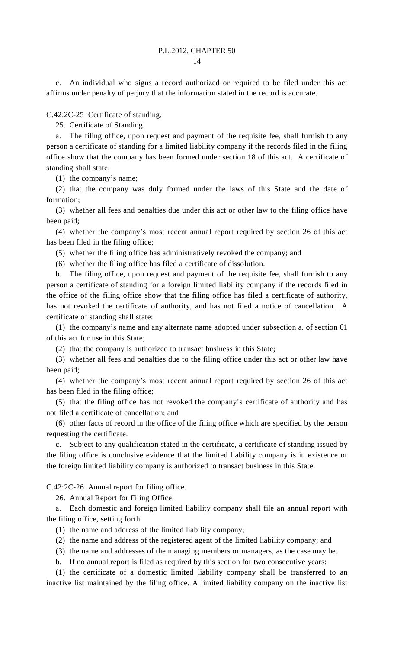c. An individual who signs a record authorized or required to be filed under this act affirms under penalty of perjury that the information stated in the record is accurate.

C.42:2C-25 Certificate of standing.

25. Certificate of Standing.

 a. The filing office, upon request and payment of the requisite fee, shall furnish to any person a certificate of standing for a limited liability company if the records filed in the filing office show that the company has been formed under section 18 of this act. A certificate of standing shall state:

(1) the company's name;

 (2) that the company was duly formed under the laws of this State and the date of formation;

 (3) whether all fees and penalties due under this act or other law to the filing office have been paid;

 (4) whether the company's most recent annual report required by section 26 of this act has been filed in the filing office;

(5) whether the filing office has administratively revoked the company; and

(6) whether the filing office has filed a certificate of dissolution.

The filing office, upon request and payment of the requisite fee, shall furnish to any person a certificate of standing for a foreign limited liability company if the records filed in the office of the filing office show that the filing office has filed a certificate of authority, has not revoked the certificate of authority, and has not filed a notice of cancellation. A certificate of standing shall state:

 (1) the company's name and any alternate name adopted under subsection a. of section 61 of this act for use in this State;

(2) that the company is authorized to transact business in this State;

 (3) whether all fees and penalties due to the filing office under this act or other law have been paid;

 (4) whether the company's most recent annual report required by section 26 of this act has been filed in the filing office;

 (5) that the filing office has not revoked the company's certificate of authority and has not filed a certificate of cancellation; and

 (6) other facts of record in the office of the filing office which are specified by the person requesting the certificate.

 c. Subject to any qualification stated in the certificate, a certificate of standing issued by the filing office is conclusive evidence that the limited liability company is in existence or the foreign limited liability company is authorized to transact business in this State.

C.42:2C-26 Annual report for filing office.

26. Annual Report for Filing Office.

 a. Each domestic and foreign limited liability company shall file an annual report with the filing office, setting forth:

(1) the name and address of the limited liability company;

(2) the name and address of the registered agent of the limited liability company; and

(3) the name and addresses of the managing members or managers, as the case may be.

b. If no annual report is filed as required by this section for two consecutive years:

 (1) the certificate of a domestic limited liability company shall be transferred to an inactive list maintained by the filing office. A limited liability company on the inactive list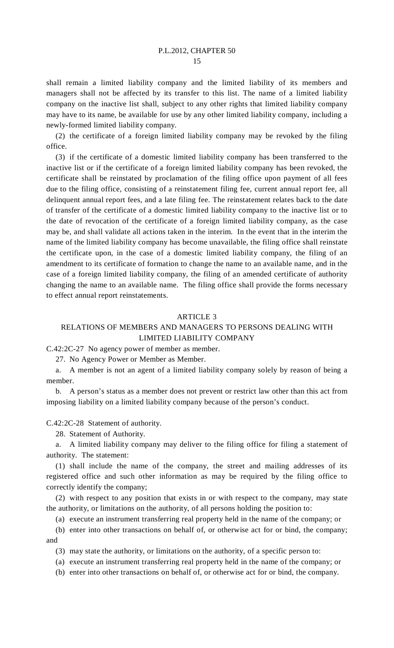shall remain a limited liability company and the limited liability of its members and managers shall not be affected by its transfer to this list. The name of a limited liability company on the inactive list shall, subject to any other rights that limited liability company may have to its name, be available for use by any other limited liability company, including a newly-formed limited liability company.

 (2) the certificate of a foreign limited liability company may be revoked by the filing office.

 (3) if the certificate of a domestic limited liability company has been transferred to the inactive list or if the certificate of a foreign limited liability company has been revoked, the certificate shall be reinstated by proclamation of the filing office upon payment of all fees due to the filing office, consisting of a reinstatement filing fee, current annual report fee, all delinquent annual report fees, and a late filing fee. The reinstatement relates back to the date of transfer of the certificate of a domestic limited liability company to the inactive list or to the date of revocation of the certificate of a foreign limited liability company, as the case may be, and shall validate all actions taken in the interim. In the event that in the interim the name of the limited liability company has become unavailable, the filing office shall reinstate the certificate upon, in the case of a domestic limited liability company, the filing of an amendment to its certificate of formation to change the name to an available name, and in the case of a foreign limited liability company, the filing of an amended certificate of authority changing the name to an available name. The filing office shall provide the forms necessary to effect annual report reinstatements.

#### **ARTICLE 3**

# RELATIONS OF MEMBERS AND MANAGERS TO PERSONS DEALING WITH LIMITED LIABILITY COMPANY

C.42:2C-27 No agency power of member as member.

27. No Agency Power or Member as Member.

 a. A member is not an agent of a limited liability company solely by reason of being a member.

 b. A person's status as a member does not prevent or restrict law other than this act from imposing liability on a limited liability company because of the person's conduct.

### C.42:2C-28 Statement of authority.

28. Statement of Authority.

 a. A limited liability company may deliver to the filing office for filing a statement of authority. The statement:

 (1) shall include the name of the company, the street and mailing addresses of its registered office and such other information as may be required by the filing office to correctly identify the company;

 (2) with respect to any position that exists in or with respect to the company, may state the authority, or limitations on the authority, of all persons holding the position to:

(a) execute an instrument transferring real property held in the name of the company; or

 (b) enter into other transactions on behalf of, or otherwise act for or bind, the company; and

(3) may state the authority, or limitations on the authority, of a specific person to:

(a) execute an instrument transferring real property held in the name of the company; or

(b) enter into other transactions on behalf of, or otherwise act for or bind, the company.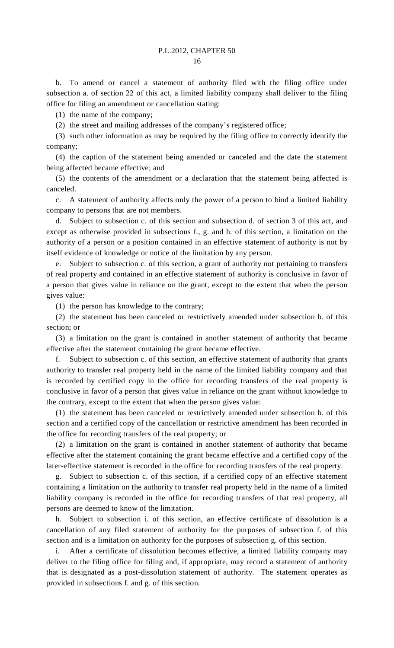b. To amend or cancel a statement of authority filed with the filing office under subsection a. of section 22 of this act, a limited liability company shall deliver to the filing office for filing an amendment or cancellation stating:

(1) the name of the company;

(2) the street and mailing addresses of the company's registered office;

 (3) such other information as may be required by the filing office to correctly identify the company;

 (4) the caption of the statement being amended or canceled and the date the statement being affected became effective; and

 (5) the contents of the amendment or a declaration that the statement being affected is canceled.

 c. A statement of authority affects only the power of a person to bind a limited liability company to persons that are not members.

 d. Subject to subsection c. of this section and subsection d. of section 3 of this act, and except as otherwise provided in subsections f., g. and h. of this section, a limitation on the authority of a person or a position contained in an effective statement of authority is not by itself evidence of knowledge or notice of the limitation by any person.

 e. Subject to subsection c. of this section, a grant of authority not pertaining to transfers of real property and contained in an effective statement of authority is conclusive in favor of a person that gives value in reliance on the grant, except to the extent that when the person gives value:

(1) the person has knowledge to the contrary;

 (2) the statement has been canceled or restrictively amended under subsection b. of this section; or

 (3) a limitation on the grant is contained in another statement of authority that became effective after the statement containing the grant became effective.

 f. Subject to subsection c. of this section, an effective statement of authority that grants authority to transfer real property held in the name of the limited liability company and that is recorded by certified copy in the office for recording transfers of the real property is conclusive in favor of a person that gives value in reliance on the grant without knowledge to the contrary, except to the extent that when the person gives value:

 (1) the statement has been canceled or restrictively amended under subsection b. of this section and a certified copy of the cancellation or restrictive amendment has been recorded in the office for recording transfers of the real property; or

 (2) a limitation on the grant is contained in another statement of authority that became effective after the statement containing the grant became effective and a certified copy of the later-effective statement is recorded in the office for recording transfers of the real property.

Subject to subsection c. of this section, if a certified copy of an effective statement containing a limitation on the authority to transfer real property held in the name of a limited liability company is recorded in the office for recording transfers of that real property, all persons are deemed to know of the limitation.

 h. Subject to subsection i. of this section, an effective certificate of dissolution is a cancellation of any filed statement of authority for the purposes of subsection f. of this section and is a limitation on authority for the purposes of subsection g. of this section.

 i. After a certificate of dissolution becomes effective, a limited liability company may deliver to the filing office for filing and, if appropriate, may record a statement of authority that is designated as a post-dissolution statement of authority. The statement operates as provided in subsections f. and g. of this section.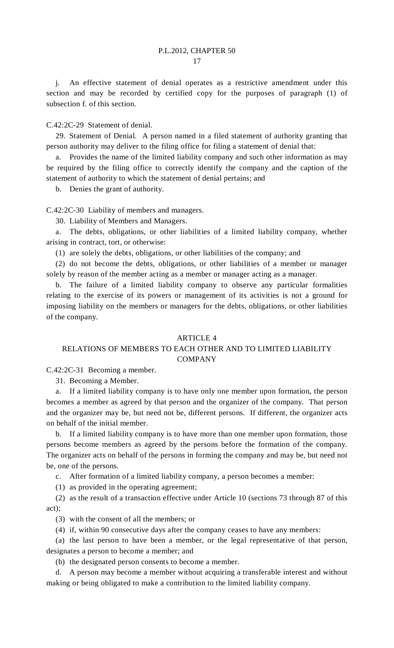j. An effective statement of denial operates as a restrictive amendment under this section and may be recorded by certified copy for the purposes of paragraph (1) of subsection f. of this section.

C.42:2C-29 Statement of denial.

 29. Statement of Denial. A person named in a filed statement of authority granting that person authority may deliver to the filing office for filing a statement of denial that:

 a. Provides the name of the limited liability company and such other information as may be required by the filing office to correctly identify the company and the caption of the statement of authority to which the statement of denial pertains; and

b. Denies the grant of authority.

C.42:2C-30 Liability of members and managers.

30. Liability of Members and Managers.

 a. The debts, obligations, or other liabilities of a limited liability company, whether arising in contract, tort, or otherwise:

(1) are solely the debts, obligations, or other liabilities of the company; and

 (2) do not become the debts, obligations, or other liabilities of a member or manager solely by reason of the member acting as a member or manager acting as a manager.

 b. The failure of a limited liability company to observe any particular formalities relating to the exercise of its powers or management of its activities is not a ground for imposing liability on the members or managers for the debts, obligations, or other liabilities of the company.

### ARTICLE 4

# RELATIONS OF MEMBERS TO EACH OTHER AND TO LIMITED LIABILITY COMPANY

C.42:2C-31 Becoming a member.

31. Becoming a Member.

 a. If a limited liability company is to have only one member upon formation, the person becomes a member as agreed by that person and the organizer of the company. That person and the organizer may be, but need not be, different persons. If different, the organizer acts on behalf of the initial member.

 b. If a limited liability company is to have more than one member upon formation, those persons become members as agreed by the persons before the formation of the company. The organizer acts on behalf of the persons in forming the company and may be, but need not be, one of the persons.

c. After formation of a limited liability company, a person becomes a member:

(1) as provided in the operating agreement;

 (2) as the result of a transaction effective under Article 10 (sections 73 through 87 of this act);

(3) with the consent of all the members; or

(4) if, within 90 consecutive days after the company ceases to have any members:

 (a) the last person to have been a member, or the legal representative of that person, designates a person to become a member; and

(b) the designated person consents to become a member.

 d. A person may become a member without acquiring a transferable interest and without making or being obligated to make a contribution to the limited liability company.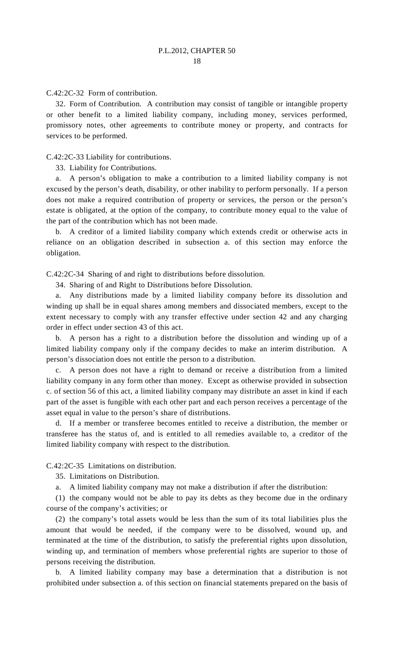C.42:2C-32 Form of contribution.

 32. Form of Contribution. A contribution may consist of tangible or intangible property or other benefit to a limited liability company, including money, services performed, promissory notes, other agreements to contribute money or property, and contracts for services to be performed.

C.42:2C-33 Liability for contributions.

33. Liability for Contributions.

 a. A person's obligation to make a contribution to a limited liability company is not excused by the person's death, disability, or other inability to perform personally. If a person does not make a required contribution of property or services, the person or the person's estate is obligated, at the option of the company, to contribute money equal to the value of the part of the contribution which has not been made.

 b. A creditor of a limited liability company which extends credit or otherwise acts in reliance on an obligation described in subsection a. of this section may enforce the obligation.

C.42:2C-34 Sharing of and right to distributions before dissolution.

34. Sharing of and Right to Distributions before Dissolution.

 a. Any distributions made by a limited liability company before its dissolution and winding up shall be in equal shares among members and dissociated members, except to the extent necessary to comply with any transfer effective under section 42 and any charging order in effect under section 43 of this act.

 b. A person has a right to a distribution before the dissolution and winding up of a limited liability company only if the company decides to make an interim distribution. A person's dissociation does not entitle the person to a distribution.

 c. A person does not have a right to demand or receive a distribution from a limited liability company in any form other than money. Except as otherwise provided in subsection c. of section 56 of this act, a limited liability company may distribute an asset in kind if each part of the asset is fungible with each other part and each person receives a percentage of the asset equal in value to the person's share of distributions.

If a member or transferee becomes entitled to receive a distribution, the member or transferee has the status of, and is entitled to all remedies available to, a creditor of the limited liability company with respect to the distribution.

C.42:2C-35 Limitations on distribution.

35. Limitations on Distribution.

a. A limited liability company may not make a distribution if after the distribution:

 (1) the company would not be able to pay its debts as they become due in the ordinary course of the company's activities; or

 (2) the company's total assets would be less than the sum of its total liabilities plus the amount that would be needed, if the company were to be dissolved, wound up, and terminated at the time of the distribution, to satisfy the preferential rights upon dissolution, winding up, and termination of members whose preferential rights are superior to those of persons receiving the distribution.

 b. A limited liability company may base a determination that a distribution is not prohibited under subsection a. of this section on financial statements prepared on the basis of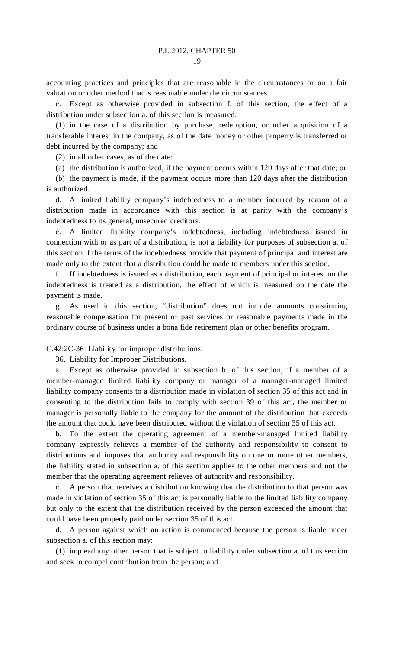accounting practices and principles that are reasonable in the circumstances or on a fair valuation or other method that is reasonable under the circumstances.

 c. Except as otherwise provided in subsection f. of this section, the effect of a distribution under subsection a. of this section is measured:

 (1) in the case of a distribution by purchase, redemption, or other acquisition of a transferable interest in the company, as of the date money or other property is transferred or debt incurred by the company; and

(2) in all other cases, as of the date:

(a) the distribution is authorized, if the payment occurs within 120 days after that date; or

 (b) the payment is made, if the payment occurs more than 120 days after the distribution is authorized.

 d. A limited liability company's indebtedness to a member incurred by reason of a distribution made in accordance with this section is at parity with the company's indebtedness to its general, unsecured creditors.

 e. A limited liability company's indebtedness, including indebtedness issued in connection with or as part of a distribution, is not a liability for purposes of subsection a. of this section if the terms of the indebtedness provide that payment of principal and interest are made only to the extent that a distribution could be made to members under this section.

If indebtedness is issued as a distribution, each payment of principal or interest on the indebtedness is treated as a distribution, the effect of which is measured on the date the payment is made.

 g. As used in this section, "distribution" does not include amounts constituting reasonable compensation for present or past services or reasonable payments made in the ordinary course of business under a bona fide retirement plan or other benefits program.

C.42:2C-36 Liability for improper distributions.

36. Liability for Improper Distributions.

 a. Except as otherwise provided in subsection b. of this section, if a member of a member-managed limited liability company or manager of a manager-managed limited liability company consents to a distribution made in violation of section 35 of this act and in consenting to the distribution fails to comply with section 39 of this act, the member or manager is personally liable to the company for the amount of the distribution that exceeds the amount that could have been distributed without the violation of section 35 of this act.

 b. To the extent the operating agreement of a member-managed limited liability company expressly relieves a member of the authority and responsibility to consent to distributions and imposes that authority and responsibility on one or more other members, the liability stated in subsection a. of this section applies to the other members and not the member that the operating agreement relieves of authority and responsibility.

 c. A person that receives a distribution knowing that the distribution to that person was made in violation of section 35 of this act is personally liable to the limited liability company but only to the extent that the distribution received by the person exceeded the amount that could have been properly paid under section 35 of this act.

 d. A person against which an action is commenced because the person is liable under subsection a. of this section may:

 (1) implead any other person that is subject to liability under subsection a. of this section and seek to compel contribution from the person; and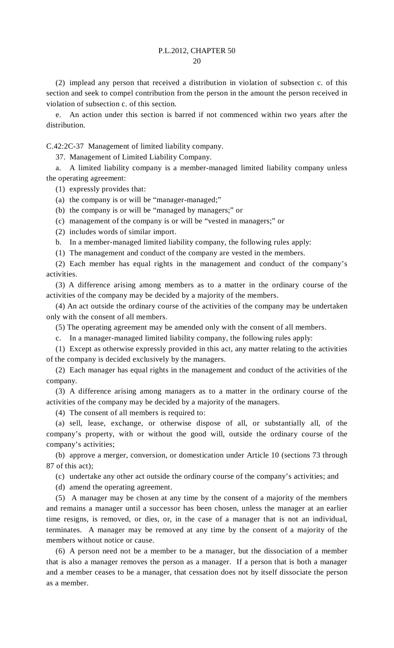(2) implead any person that received a distribution in violation of subsection c. of this section and seek to compel contribution from the person in the amount the person received in violation of subsection c. of this section.

 e. An action under this section is barred if not commenced within two years after the distribution.

C.42:2C-37 Management of limited liability company.

37. Management of Limited Liability Company.

 a. A limited liability company is a member-managed limited liability company unless the operating agreement:

(1) expressly provides that:

(a) the company is or will be "manager-managed;"

(b) the company is or will be "managed by managers;" or

(c) management of the company is or will be "vested in managers;" or

(2) includes words of similar import.

b. In a member-managed limited liability company, the following rules apply:

(1) The management and conduct of the company are vested in the members.

 (2) Each member has equal rights in the management and conduct of the company's activities.

 (3) A difference arising among members as to a matter in the ordinary course of the activities of the company may be decided by a majority of the members.

 (4) An act outside the ordinary course of the activities of the company may be undertaken only with the consent of all members.

(5) The operating agreement may be amended only with the consent of all members.

c. In a manager-managed limited liability company, the following rules apply:

 (1) Except as otherwise expressly provided in this act, any matter relating to the activities of the company is decided exclusively by the managers.

 (2) Each manager has equal rights in the management and conduct of the activities of the company.

 (3) A difference arising among managers as to a matter in the ordinary course of the activities of the company may be decided by a majority of the managers.

(4) The consent of all members is required to:

 (a) sell, lease, exchange, or otherwise dispose of all, or substantially all, of the company's property, with or without the good will, outside the ordinary course of the company's activities;

 (b) approve a merger, conversion, or domestication under Article 10 (sections 73 through 87 of this act);

(c) undertake any other act outside the ordinary course of the company's activities; and

(d) amend the operating agreement.

 (5) A manager may be chosen at any time by the consent of a majority of the members and remains a manager until a successor has been chosen, unless the manager at an earlier time resigns, is removed, or dies, or, in the case of a manager that is not an individual, terminates. A manager may be removed at any time by the consent of a majority of the members without notice or cause.

 (6) A person need not be a member to be a manager, but the dissociation of a member that is also a manager removes the person as a manager. If a person that is both a manager and a member ceases to be a manager, that cessation does not by itself dissociate the person as a member.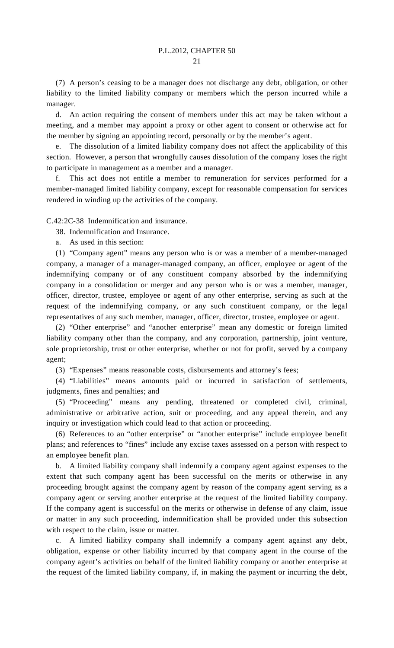(7) A person's ceasing to be a manager does not discharge any debt, obligation, or other liability to the limited liability company or members which the person incurred while a manager.

 d. An action requiring the consent of members under this act may be taken without a meeting, and a member may appoint a proxy or other agent to consent or otherwise act for the member by signing an appointing record, personally or by the member's agent.

The dissolution of a limited liability company does not affect the applicability of this section. However, a person that wrongfully causes dissolution of the company loses the right to participate in management as a member and a manager.

 f. This act does not entitle a member to remuneration for services performed for a member-managed limited liability company, except for reasonable compensation for services rendered in winding up the activities of the company.

C.42:2C-38 Indemnification and insurance.

38. Indemnification and Insurance.

a. As used in this section:

 (1) "Company agent" means any person who is or was a member of a member-managed company, a manager of a manager-managed company, an officer, employee or agent of the indemnifying company or of any constituent company absorbed by the indemnifying company in a consolidation or merger and any person who is or was a member, manager, officer, director, trustee, employee or agent of any other enterprise, serving as such at the request of the indemnifying company, or any such constituent company, or the legal representatives of any such member, manager, officer, director, trustee, employee or agent.

 (2) "Other enterprise" and "another enterprise" mean any domestic or foreign limited liability company other than the company, and any corporation, partnership, joint venture, sole proprietorship, trust or other enterprise, whether or not for profit, served by a company agent;

(3) "Expenses" means reasonable costs, disbursements and attorney's fees;

 (4) "Liabilities" means amounts paid or incurred in satisfaction of settlements, judgments, fines and penalties; and

 (5) "Proceeding" means any pending, threatened or completed civil, criminal, administrative or arbitrative action, suit or proceeding, and any appeal therein, and any inquiry or investigation which could lead to that action or proceeding.

 (6) References to an "other enterprise" or "another enterprise" include employee benefit plans; and references to "fines" include any excise taxes assessed on a person with respect to an employee benefit plan.

 b. A limited liability company shall indemnify a company agent against expenses to the extent that such company agent has been successful on the merits or otherwise in any proceeding brought against the company agent by reason of the company agent serving as a company agent or serving another enterprise at the request of the limited liability company. If the company agent is successful on the merits or otherwise in defense of any claim, issue or matter in any such proceeding, indemnification shall be provided under this subsection with respect to the claim, issue or matter.

 c. A limited liability company shall indemnify a company agent against any debt, obligation, expense or other liability incurred by that company agent in the course of the company agent's activities on behalf of the limited liability company or another enterprise at the request of the limited liability company, if, in making the payment or incurring the debt,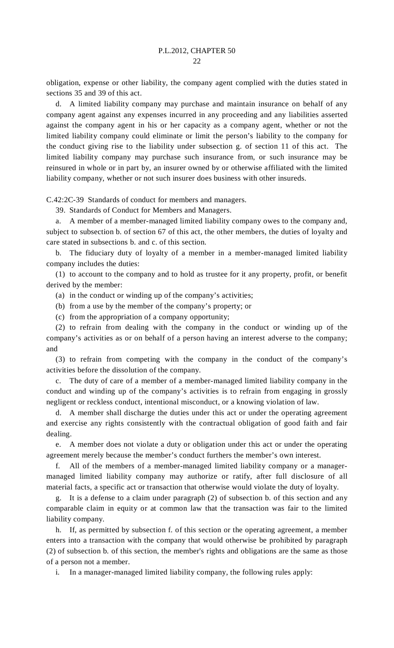obligation, expense or other liability, the company agent complied with the duties stated in sections 35 and 39 of this act.

 d. A limited liability company may purchase and maintain insurance on behalf of any company agent against any expenses incurred in any proceeding and any liabilities asserted against the company agent in his or her capacity as a company agent, whether or not the limited liability company could eliminate or limit the person's liability to the company for the conduct giving rise to the liability under subsection g. of section 11 of this act. The limited liability company may purchase such insurance from, or such insurance may be reinsured in whole or in part by, an insurer owned by or otherwise affiliated with the limited liability company, whether or not such insurer does business with other insureds.

C.42:2C-39 Standards of conduct for members and managers.

39. Standards of Conduct for Members and Managers.

 a. A member of a member-managed limited liability company owes to the company and, subject to subsection b. of section 67 of this act, the other members, the duties of loyalty and care stated in subsections b. and c. of this section.

 b. The fiduciary duty of loyalty of a member in a member-managed limited liability company includes the duties:

 (1) to account to the company and to hold as trustee for it any property, profit, or benefit derived by the member:

(a) in the conduct or winding up of the company's activities;

(b) from a use by the member of the company's property; or

(c) from the appropriation of a company opportunity;

 (2) to refrain from dealing with the company in the conduct or winding up of the company's activities as or on behalf of a person having an interest adverse to the company; and

 (3) to refrain from competing with the company in the conduct of the company's activities before the dissolution of the company.

 c. The duty of care of a member of a member-managed limited liability company in the conduct and winding up of the company's activities is to refrain from engaging in grossly negligent or reckless conduct, intentional misconduct, or a knowing violation of law.

 d. A member shall discharge the duties under this act or under the operating agreement and exercise any rights consistently with the contractual obligation of good faith and fair dealing.

 e. A member does not violate a duty or obligation under this act or under the operating agreement merely because the member's conduct furthers the member's own interest.

All of the members of a member-managed limited liability company or a managermanaged limited liability company may authorize or ratify, after full disclosure of all material facts, a specific act or transaction that otherwise would violate the duty of loyalty.

 g. It is a defense to a claim under paragraph (2) of subsection b. of this section and any comparable claim in equity or at common law that the transaction was fair to the limited liability company.

 h. If, as permitted by subsection f. of this section or the operating agreement, a member enters into a transaction with the company that would otherwise be prohibited by paragraph (2) of subsection b. of this section, the member's rights and obligations are the same as those of a person not a member.

i. In a manager-managed limited liability company, the following rules apply: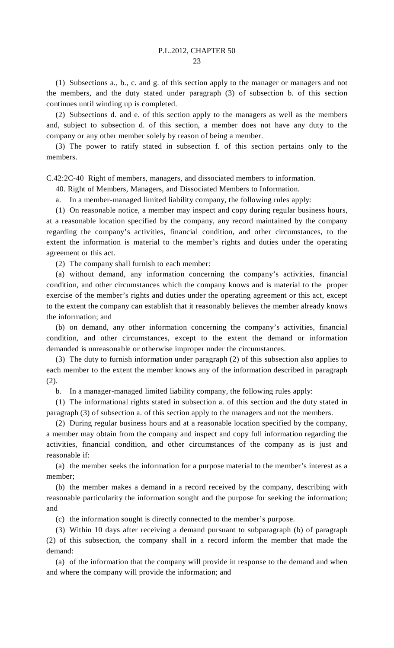(1) Subsections a., b., c. and g. of this section apply to the manager or managers and not the members, and the duty stated under paragraph (3) of subsection b. of this section continues until winding up is completed.

 (2) Subsections d. and e. of this section apply to the managers as well as the members and, subject to subsection d. of this section, a member does not have any duty to the company or any other member solely by reason of being a member.

 (3) The power to ratify stated in subsection f. of this section pertains only to the members.

C.42:2C-40 Right of members, managers, and dissociated members to information.

40. Right of Members, Managers, and Dissociated Members to Information.

a. In a member-managed limited liability company, the following rules apply:

 (1) On reasonable notice, a member may inspect and copy during regular business hours, at a reasonable location specified by the company, any record maintained by the company regarding the company's activities, financial condition, and other circumstances, to the extent the information is material to the member's rights and duties under the operating agreement or this act.

(2) The company shall furnish to each member:

 (a) without demand, any information concerning the company's activities, financial condition, and other circumstances which the company knows and is material to the proper exercise of the member's rights and duties under the operating agreement or this act, except to the extent the company can establish that it reasonably believes the member already knows the information; and

 (b) on demand, any other information concerning the company's activities, financial condition, and other circumstances, except to the extent the demand or information demanded is unreasonable or otherwise improper under the circumstances.

 (3) The duty to furnish information under paragraph (2) of this subsection also applies to each member to the extent the member knows any of the information described in paragraph (2).

b. In a manager-managed limited liability company, the following rules apply:

 (1) The informational rights stated in subsection a. of this section and the duty stated in paragraph (3) of subsection a. of this section apply to the managers and not the members.

 (2) During regular business hours and at a reasonable location specified by the company, a member may obtain from the company and inspect and copy full information regarding the activities, financial condition, and other circumstances of the company as is just and reasonable if:

 (a) the member seeks the information for a purpose material to the member's interest as a member;

 (b) the member makes a demand in a record received by the company, describing with reasonable particularity the information sought and the purpose for seeking the information; and

(c) the information sought is directly connected to the member's purpose.

 (3) Within 10 days after receiving a demand pursuant to subparagraph (b) of paragraph (2) of this subsection, the company shall in a record inform the member that made the demand:

 (a) of the information that the company will provide in response to the demand and when and where the company will provide the information; and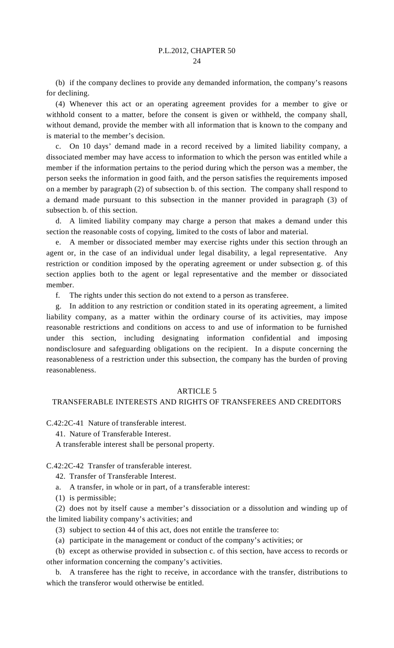(b) if the company declines to provide any demanded information, the company's reasons for declining.

 (4) Whenever this act or an operating agreement provides for a member to give or withhold consent to a matter, before the consent is given or withheld, the company shall, without demand, provide the member with all information that is known to the company and is material to the member's decision.

 c. On 10 days' demand made in a record received by a limited liability company, a dissociated member may have access to information to which the person was entitled while a member if the information pertains to the period during which the person was a member, the person seeks the information in good faith, and the person satisfies the requirements imposed on a member by paragraph (2) of subsection b. of this section. The company shall respond to a demand made pursuant to this subsection in the manner provided in paragraph (3) of subsection b. of this section.

 d. A limited liability company may charge a person that makes a demand under this section the reasonable costs of copying, limited to the costs of labor and material.

 e. A member or dissociated member may exercise rights under this section through an agent or, in the case of an individual under legal disability, a legal representative. Any restriction or condition imposed by the operating agreement or under subsection g. of this section applies both to the agent or legal representative and the member or dissociated member.

f. The rights under this section do not extend to a person as transferee.

 g. In addition to any restriction or condition stated in its operating agreement, a limited liability company, as a matter within the ordinary course of its activities, may impose reasonable restrictions and conditions on access to and use of information to be furnished under this section, including designating information confidential and imposing nondisclosure and safeguarding obligations on the recipient. In a dispute concerning the reasonableness of a restriction under this subsection, the company has the burden of proving reasonableness.

#### ARTICLE 5

## TRANSFERABLE INTERESTS AND RIGHTS OF TRANSFEREES AND CREDITORS

C.42:2C-41 Nature of transferable interest.

41. Nature of Transferable Interest.

A transferable interest shall be personal property.

C.42:2C-42 Transfer of transferable interest.

- 42. Transfer of Transferable Interest.
- a. A transfer, in whole or in part, of a transferable interest:
- (1) is permissible;

 (2) does not by itself cause a member's dissociation or a dissolution and winding up of the limited liability company's activities; and

- (3) subject to section 44 of this act, does not entitle the transferee to:
- (a) participate in the management or conduct of the company's activities; or

 (b) except as otherwise provided in subsection c. of this section, have access to records or other information concerning the company's activities.

 b. A transferee has the right to receive, in accordance with the transfer, distributions to which the transferor would otherwise be entitled.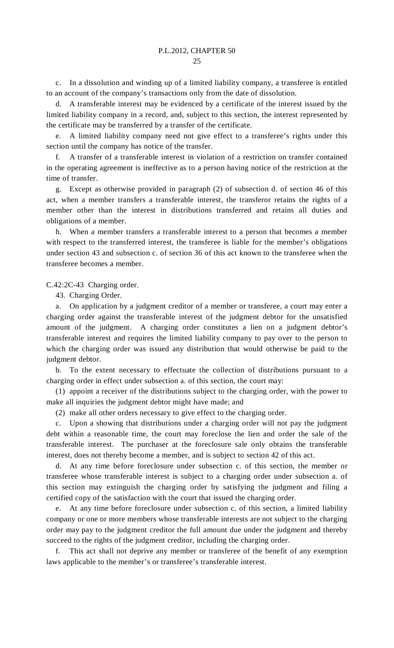c. In a dissolution and winding up of a limited liability company, a transferee is entitled to an account of the company's transactions only from the date of dissolution.

 d. A transferable interest may be evidenced by a certificate of the interest issued by the limited liability company in a record, and, subject to this section, the interest represented by the certificate may be transferred by a transfer of the certificate.

A limited liability company need not give effect to a transferee's rights under this section until the company has notice of the transfer.

 f. A transfer of a transferable interest in violation of a restriction on transfer contained in the operating agreement is ineffective as to a person having notice of the restriction at the time of transfer.

 g. Except as otherwise provided in paragraph (2) of subsection d. of section 46 of this act, when a member transfers a transferable interest, the transferor retains the rights of a member other than the interest in distributions transferred and retains all duties and obligations of a member.

 h. When a member transfers a transferable interest to a person that becomes a member with respect to the transferred interest, the transferee is liable for the member's obligations under section 43 and subsection c. of section 36 of this act known to the transferee when the transferee becomes a member.

#### C.42:2C-43 Charging order.

43. Charging Order.

 a. On application by a judgment creditor of a member or transferee, a court may enter a charging order against the transferable interest of the judgment debtor for the unsatisfied amount of the judgment. A charging order constitutes a lien on a judgment debtor's transferable interest and requires the limited liability company to pay over to the person to which the charging order was issued any distribution that would otherwise be paid to the judgment debtor.

 b. To the extent necessary to effectuate the collection of distributions pursuant to a charging order in effect under subsection a. of this section, the court may:

 (1) appoint a receiver of the distributions subject to the charging order, with the power to make all inquiries the judgment debtor might have made; and

(2) make all other orders necessary to give effect to the charging order.

 c. Upon a showing that distributions under a charging order will not pay the judgment debt within a reasonable time, the court may foreclose the lien and order the sale of the transferable interest. The purchaser at the foreclosure sale only obtains the transferable interest, does not thereby become a member, and is subject to section 42 of this act.

 d. At any time before foreclosure under subsection c. of this section, the member or transferee whose transferable interest is subject to a charging order under subsection a. of this section may extinguish the charging order by satisfying the judgment and filing a certified copy of the satisfaction with the court that issued the charging order.

At any time before foreclosure under subsection c. of this section, a limited liability company or one or more members whose transferable interests are not subject to the charging order may pay to the judgment creditor the full amount due under the judgment and thereby succeed to the rights of the judgment creditor, including the charging order.

 f. This act shall not deprive any member or transferee of the benefit of any exemption laws applicable to the member's or transferee's transferable interest.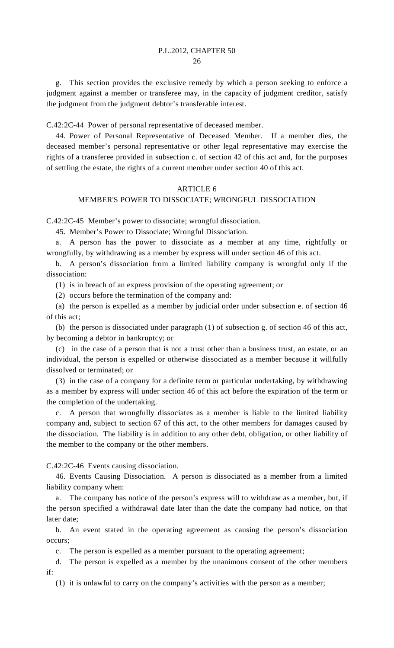g. This section provides the exclusive remedy by which a person seeking to enforce a judgment against a member or transferee may, in the capacity of judgment creditor, satisfy the judgment from the judgment debtor's transferable interest.

C.42:2C-44 Power of personal representative of deceased member.

 44. Power of Personal Representative of Deceased Member. If a member dies, the deceased member's personal representative or other legal representative may exercise the rights of a transferee provided in subsection c. of section 42 of this act and, for the purposes of settling the estate, the rights of a current member under section 40 of this act.

#### ARTICLE 6

## MEMBER'S POWER TO DISSOCIATE; WRONGFUL DISSOCIATION

C.42:2C-45 Member's power to dissociate; wrongful dissociation.

45. Member's Power to Dissociate; Wrongful Dissociation.

 a. A person has the power to dissociate as a member at any time, rightfully or wrongfully, by withdrawing as a member by express will under section 46 of this act.

 b. A person's dissociation from a limited liability company is wrongful only if the dissociation:

(1) is in breach of an express provision of the operating agreement; or

(2) occurs before the termination of the company and:

 (a) the person is expelled as a member by judicial order under subsection e. of section 46 of this act;

 (b) the person is dissociated under paragraph (1) of subsection g. of section 46 of this act, by becoming a debtor in bankruptcy; or

 (c) in the case of a person that is not a trust other than a business trust, an estate, or an individual, the person is expelled or otherwise dissociated as a member because it willfully dissolved or terminated; or

 (3) in the case of a company for a definite term or particular undertaking, by withdrawing as a member by express will under section 46 of this act before the expiration of the term or the completion of the undertaking.

 c. A person that wrongfully dissociates as a member is liable to the limited liability company and, subject to section 67 of this act, to the other members for damages caused by the dissociation. The liability is in addition to any other debt, obligation, or other liability of the member to the company or the other members.

C.42:2C-46 Events causing dissociation.

 46. Events Causing Dissociation. A person is dissociated as a member from a limited liability company when:

 a. The company has notice of the person's express will to withdraw as a member, but, if the person specified a withdrawal date later than the date the company had notice, on that later date;

 b. An event stated in the operating agreement as causing the person's dissociation occurs;

c. The person is expelled as a member pursuant to the operating agreement;

 d. The person is expelled as a member by the unanimous consent of the other members if:

(1) it is unlawful to carry on the company's activities with the person as a member;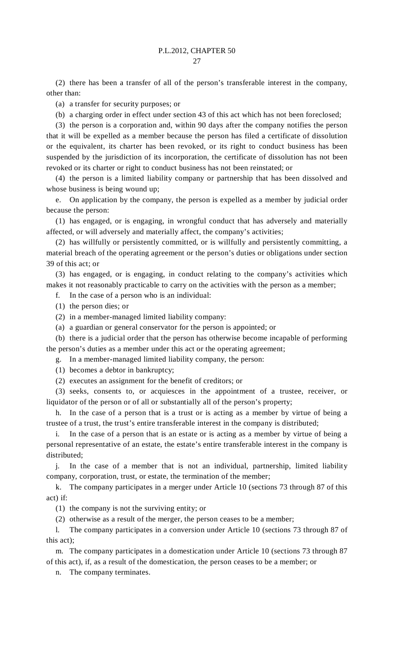(2) there has been a transfer of all of the person's transferable interest in the company, other than:

(a) a transfer for security purposes; or

(b) a charging order in effect under section 43 of this act which has not been foreclosed;

 (3) the person is a corporation and, within 90 days after the company notifies the person that it will be expelled as a member because the person has filed a certificate of dissolution or the equivalent, its charter has been revoked, or its right to conduct business has been suspended by the jurisdiction of its incorporation, the certificate of dissolution has not been revoked or its charter or right to conduct business has not been reinstated; or

 (4) the person is a limited liability company or partnership that has been dissolved and whose business is being wound up;

 e. On application by the company, the person is expelled as a member by judicial order because the person:

 (1) has engaged, or is engaging, in wrongful conduct that has adversely and materially affected, or will adversely and materially affect, the company's activities;

 (2) has willfully or persistently committed, or is willfully and persistently committing, a material breach of the operating agreement or the person's duties or obligations under section 39 of this act; or

 (3) has engaged, or is engaging, in conduct relating to the company's activities which makes it not reasonably practicable to carry on the activities with the person as a member;

f. In the case of a person who is an individual:

- (1) the person dies; or
- (2) in a member-managed limited liability company:
- (a) a guardian or general conservator for the person is appointed; or

 (b) there is a judicial order that the person has otherwise become incapable of performing the person's duties as a member under this act or the operating agreement;

g. In a member-managed limited liability company, the person:

(1) becomes a debtor in bankruptcy;

(2) executes an assignment for the benefit of creditors; or

 (3) seeks, consents to, or acquiesces in the appointment of a trustee, receiver, or liquidator of the person or of all or substantially all of the person's property;

 h. In the case of a person that is a trust or is acting as a member by virtue of being a trustee of a trust, the trust's entire transferable interest in the company is distributed;

 i. In the case of a person that is an estate or is acting as a member by virtue of being a personal representative of an estate, the estate's entire transferable interest in the company is distributed;

 j. In the case of a member that is not an individual, partnership, limited liability company, corporation, trust, or estate, the termination of the member;

 k. The company participates in a merger under Article 10 (sections 73 through 87 of this act) if:

(1) the company is not the surviving entity; or

(2) otherwise as a result of the merger, the person ceases to be a member;

 l. The company participates in a conversion under Article 10 (sections 73 through 87 of this act);

 m. The company participates in a domestication under Article 10 (sections 73 through 87 of this act), if, as a result of the domestication, the person ceases to be a member; or

n. The company terminates.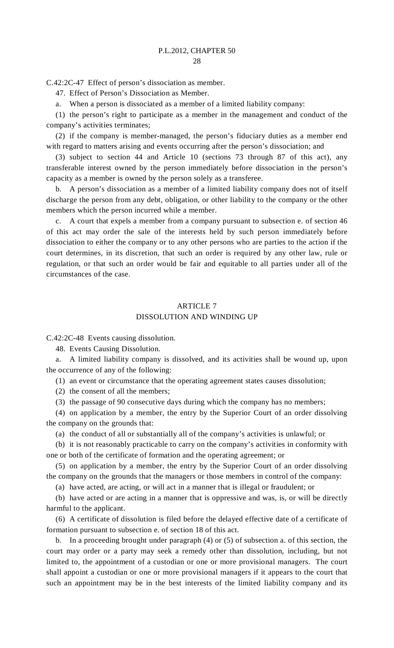C.42:2C-47 Effect of person's dissociation as member.

47. Effect of Person's Dissociation as Member.

a. When a person is dissociated as a member of a limited liability company:

 (1) the person's right to participate as a member in the management and conduct of the company's activities terminates;

 (2) if the company is member-managed, the person's fiduciary duties as a member end with regard to matters arising and events occurring after the person's dissociation; and

 (3) subject to section 44 and Article 10 (sections 73 through 87 of this act), any transferable interest owned by the person immediately before dissociation in the person's capacity as a member is owned by the person solely as a transferee.

 b. A person's dissociation as a member of a limited liability company does not of itself discharge the person from any debt, obligation, or other liability to the company or the other members which the person incurred while a member.

 c. A court that expels a member from a company pursuant to subsection e. of section 46 of this act may order the sale of the interests held by such person immediately before dissociation to either the company or to any other persons who are parties to the action if the court determines, in its discretion, that such an order is required by any other law, rule or regulation, or that such an order would be fair and equitable to all parties under all of the circumstances of the case.

## ARTICLE 7 DISSOLUTION AND WINDING UP

C.42:2C-48 Events causing dissolution.

48. Events Causing Dissolution.

 a. A limited liability company is dissolved, and its activities shall be wound up, upon the occurrence of any of the following:

(1) an event or circumstance that the operating agreement states causes dissolution;

(2) the consent of all the members;

(3) the passage of 90 consecutive days during which the company has no members;

 (4) on application by a member, the entry by the Superior Court of an order dissolving the company on the grounds that:

(a) the conduct of all or substantially all of the company's activities is unlawful; or

 (b) it is not reasonably practicable to carry on the company's activities in conformity with one or both of the certificate of formation and the operating agreement; or

 (5) on application by a member, the entry by the Superior Court of an order dissolving the company on the grounds that the managers or those members in control of the company:

(a) have acted, are acting, or will act in a manner that is illegal or fraudulent; or

 (b) have acted or are acting in a manner that is oppressive and was, is, or will be directly harmful to the applicant.

 (6) A certificate of dissolution is filed before the delayed effective date of a certificate of formation pursuant to subsection e. of section 18 of this act.

 b. In a proceeding brought under paragraph (4) or (5) of subsection a. of this section, the court may order or a party may seek a remedy other than dissolution, including, but not limited to, the appointment of a custodian or one or more provisional managers. The court shall appoint a custodian or one or more provisional managers if it appears to the court that such an appointment may be in the best interests of the limited liability company and its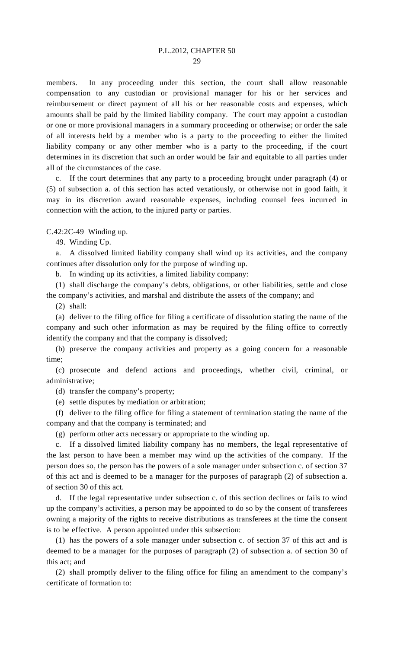members. In any proceeding under this section, the court shall allow reasonable compensation to any custodian or provisional manager for his or her services and reimbursement or direct payment of all his or her reasonable costs and expenses, which amounts shall be paid by the limited liability company. The court may appoint a custodian or one or more provisional managers in a summary proceeding or otherwise; or order the sale of all interests held by a member who is a party to the proceeding to either the limited liability company or any other member who is a party to the proceeding, if the court determines in its discretion that such an order would be fair and equitable to all parties under all of the circumstances of the case.

 c. If the court determines that any party to a proceeding brought under paragraph (4) or (5) of subsection a. of this section has acted vexatiously, or otherwise not in good faith, it may in its discretion award reasonable expenses, including counsel fees incurred in connection with the action, to the injured party or parties.

C.42:2C-49 Winding up.

49. Winding Up.

 a. A dissolved limited liability company shall wind up its activities, and the company continues after dissolution only for the purpose of winding up.

b. In winding up its activities, a limited liability company:

 (1) shall discharge the company's debts, obligations, or other liabilities, settle and close the company's activities, and marshal and distribute the assets of the company; and

(2) shall:

 (a) deliver to the filing office for filing a certificate of dissolution stating the name of the company and such other information as may be required by the filing office to correctly identify the company and that the company is dissolved;

 (b) preserve the company activities and property as a going concern for a reasonable time;

 (c) prosecute and defend actions and proceedings, whether civil, criminal, or administrative;

(d) transfer the company's property;

(e) settle disputes by mediation or arbitration;

 (f) deliver to the filing office for filing a statement of termination stating the name of the company and that the company is terminated; and

(g) perform other acts necessary or appropriate to the winding up.

 c. If a dissolved limited liability company has no members, the legal representative of the last person to have been a member may wind up the activities of the company. If the person does so, the person has the powers of a sole manager under subsection c. of section 37 of this act and is deemed to be a manager for the purposes of paragraph (2) of subsection a. of section 30 of this act.

 d. If the legal representative under subsection c. of this section declines or fails to wind up the company's activities, a person may be appointed to do so by the consent of transferees owning a majority of the rights to receive distributions as transferees at the time the consent is to be effective. A person appointed under this subsection:

 (1) has the powers of a sole manager under subsection c. of section 37 of this act and is deemed to be a manager for the purposes of paragraph (2) of subsection a. of section 30 of this act; and

 (2) shall promptly deliver to the filing office for filing an amendment to the company's certificate of formation to: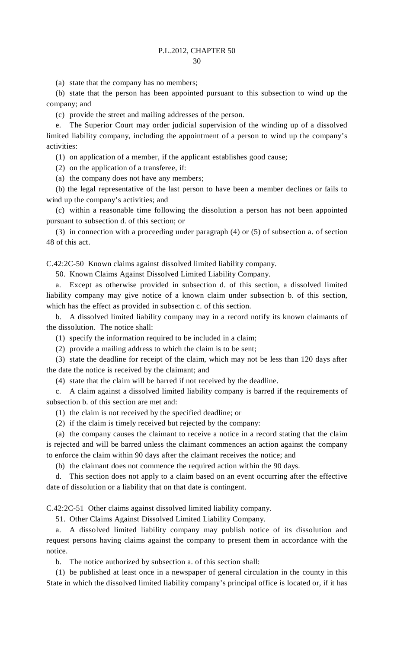(a) state that the company has no members;

 (b) state that the person has been appointed pursuant to this subsection to wind up the company; and

(c) provide the street and mailing addresses of the person.

 e. The Superior Court may order judicial supervision of the winding up of a dissolved limited liability company, including the appointment of a person to wind up the company's activities:

(1) on application of a member, if the applicant establishes good cause;

(2) on the application of a transferee, if:

(a) the company does not have any members;

 (b) the legal representative of the last person to have been a member declines or fails to wind up the company's activities; and

 (c) within a reasonable time following the dissolution a person has not been appointed pursuant to subsection d. of this section; or

 (3) in connection with a proceeding under paragraph (4) or (5) of subsection a. of section 48 of this act.

C.42:2C-50 Known claims against dissolved limited liability company.

50. Known Claims Against Dissolved Limited Liability Company.

 a. Except as otherwise provided in subsection d. of this section, a dissolved limited liability company may give notice of a known claim under subsection b. of this section, which has the effect as provided in subsection c. of this section.

 b. A dissolved limited liability company may in a record notify its known claimants of the dissolution. The notice shall:

(1) specify the information required to be included in a claim;

(2) provide a mailing address to which the claim is to be sent;

 (3) state the deadline for receipt of the claim, which may not be less than 120 days after the date the notice is received by the claimant; and

(4) state that the claim will be barred if not received by the deadline.

 c. A claim against a dissolved limited liability company is barred if the requirements of subsection b. of this section are met and:

(1) the claim is not received by the specified deadline; or

(2) if the claim is timely received but rejected by the company:

 (a) the company causes the claimant to receive a notice in a record stating that the claim is rejected and will be barred unless the claimant commences an action against the company to enforce the claim within 90 days after the claimant receives the notice; and

(b) the claimant does not commence the required action within the 90 days.

 d. This section does not apply to a claim based on an event occurring after the effective date of dissolution or a liability that on that date is contingent.

C.42:2C-51 Other claims against dissolved limited liability company.

51. Other Claims Against Dissolved Limited Liability Company.

 a. A dissolved limited liability company may publish notice of its dissolution and request persons having claims against the company to present them in accordance with the notice.

b. The notice authorized by subsection a. of this section shall:

 (1) be published at least once in a newspaper of general circulation in the county in this State in which the dissolved limited liability company's principal office is located or, if it has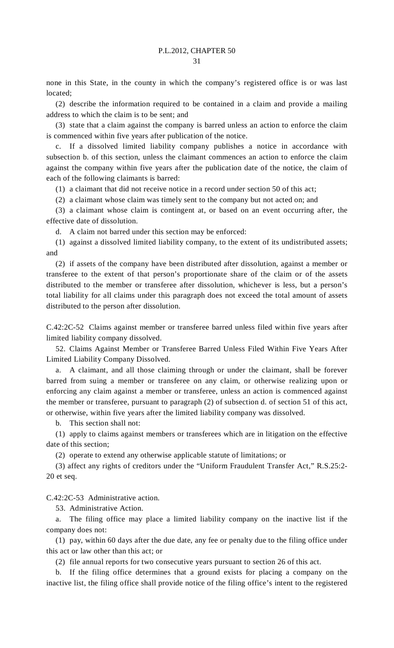none in this State, in the county in which the company's registered office is or was last located;

 (2) describe the information required to be contained in a claim and provide a mailing address to which the claim is to be sent; and

 (3) state that a claim against the company is barred unless an action to enforce the claim is commenced within five years after publication of the notice.

If a dissolved limited liability company publishes a notice in accordance with subsection b. of this section, unless the claimant commences an action to enforce the claim against the company within five years after the publication date of the notice, the claim of each of the following claimants is barred:

(1) a claimant that did not receive notice in a record under section 50 of this act;

(2) a claimant whose claim was timely sent to the company but not acted on; and

 (3) a claimant whose claim is contingent at, or based on an event occurring after, the effective date of dissolution.

d. A claim not barred under this section may be enforced:

 (1) against a dissolved limited liability company, to the extent of its undistributed assets; and

 (2) if assets of the company have been distributed after dissolution, against a member or transferee to the extent of that person's proportionate share of the claim or of the assets distributed to the member or transferee after dissolution, whichever is less, but a person's total liability for all claims under this paragraph does not exceed the total amount of assets distributed to the person after dissolution.

C.42:2C-52 Claims against member or transferee barred unless filed within five years after limited liability company dissolved.

 52. Claims Against Member or Transferee Barred Unless Filed Within Five Years After Limited Liability Company Dissolved.

 a. A claimant, and all those claiming through or under the claimant, shall be forever barred from suing a member or transferee on any claim, or otherwise realizing upon or enforcing any claim against a member or transferee, unless an action is commenced against the member or transferee, pursuant to paragraph (2) of subsection d. of section 51 of this act, or otherwise, within five years after the limited liability company was dissolved.

b. This section shall not:

 (1) apply to claims against members or transferees which are in litigation on the effective date of this section;

(2) operate to extend any otherwise applicable statute of limitations; or

 (3) affect any rights of creditors under the "Uniform Fraudulent Transfer Act," R.S.25:2- 20 et seq.

C.42:2C-53 Administrative action.

53. Administrative Action.

 a. The filing office may place a limited liability company on the inactive list if the company does not:

 (1) pay, within 60 days after the due date, any fee or penalty due to the filing office under this act or law other than this act; or

(2) file annual reports for two consecutive years pursuant to section 26 of this act.

 b. If the filing office determines that a ground exists for placing a company on the inactive list, the filing office shall provide notice of the filing office's intent to the registered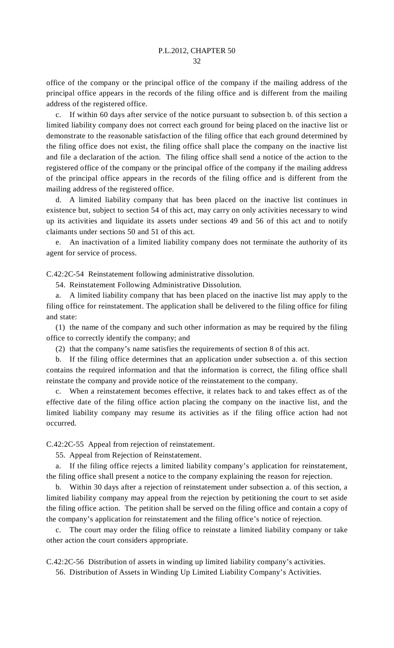office of the company or the principal office of the company if the mailing address of the principal office appears in the records of the filing office and is different from the mailing address of the registered office.

 c. If within 60 days after service of the notice pursuant to subsection b. of this section a limited liability company does not correct each ground for being placed on the inactive list or demonstrate to the reasonable satisfaction of the filing office that each ground determined by the filing office does not exist, the filing office shall place the company on the inactive list and file a declaration of the action. The filing office shall send a notice of the action to the registered office of the company or the principal office of the company if the mailing address of the principal office appears in the records of the filing office and is different from the mailing address of the registered office.

 d. A limited liability company that has been placed on the inactive list continues in existence but, subject to section 54 of this act, may carry on only activities necessary to wind up its activities and liquidate its assets under sections 49 and 56 of this act and to notify claimants under sections 50 and 51 of this act.

 e. An inactivation of a limited liability company does not terminate the authority of its agent for service of process.

C.42:2C-54 Reinstatement following administrative dissolution.

54. Reinstatement Following Administrative Dissolution.

 a. A limited liability company that has been placed on the inactive list may apply to the filing office for reinstatement. The application shall be delivered to the filing office for filing and state:

 (1) the name of the company and such other information as may be required by the filing office to correctly identify the company; and

(2) that the company's name satisfies the requirements of section 8 of this act.

 b. If the filing office determines that an application under subsection a. of this section contains the required information and that the information is correct, the filing office shall reinstate the company and provide notice of the reinstatement to the company.

 c. When a reinstatement becomes effective, it relates back to and takes effect as of the effective date of the filing office action placing the company on the inactive list, and the limited liability company may resume its activities as if the filing office action had not occurred.

C.42:2C-55 Appeal from rejection of reinstatement.

55. Appeal from Rejection of Reinstatement.

 a. If the filing office rejects a limited liability company's application for reinstatement, the filing office shall present a notice to the company explaining the reason for rejection.

 b. Within 30 days after a rejection of reinstatement under subsection a. of this section, a limited liability company may appeal from the rejection by petitioning the court to set aside the filing office action. The petition shall be served on the filing office and contain a copy of the company's application for reinstatement and the filing office's notice of rejection.

 c. The court may order the filing office to reinstate a limited liability company or take other action the court considers appropriate.

C.42:2C-56 Distribution of assets in winding up limited liability company's activities.

56. Distribution of Assets in Winding Up Limited Liability Company's Activities.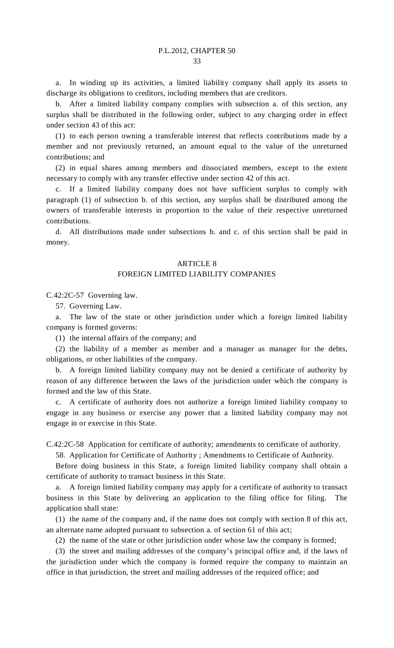a. In winding up its activities, a limited liability company shall apply its assets to discharge its obligations to creditors, including members that are creditors.

 b. After a limited liability company complies with subsection a. of this section, any surplus shall be distributed in the following order, subject to any charging order in effect under section 43 of this act:

 (1) to each person owning a transferable interest that reflects contributions made by a member and not previously returned, an amount equal to the value of the unreturned contributions; and

 (2) in equal shares among members and dissociated members, except to the extent necessary to comply with any transfer effective under section 42 of this act.

 c. If a limited liability company does not have sufficient surplus to comply with paragraph (1) of subsection b. of this section, any surplus shall be distributed among the owners of transferable interests in proportion to the value of their respective unreturned contributions.

 d. All distributions made under subsections b. and c. of this section shall be paid in money.

#### ARTICLE 8

#### FOREIGN LIMITED LIABILITY COMPANIES

C.42:2C-57 Governing law.

57. Governing Law.

 a. The law of the state or other jurisdiction under which a foreign limited liability company is formed governs:

(1) the internal affairs of the company; and

 (2) the liability of a member as member and a manager as manager for the debts, obligations, or other liabilities of the company.

 b. A foreign limited liability company may not be denied a certificate of authority by reason of any difference between the laws of the jurisdiction under which the company is formed and the law of this State.

 c. A certificate of authority does not authorize a foreign limited liability company to engage in any business or exercise any power that a limited liability company may not engage in or exercise in this State.

C.42:2C-58 Application for certificate of authority; amendments to certificate of authority.

58. Application for Certificate of Authority ; Amendments to Certificate of Authority.

 Before doing business in this State, a foreign limited liability company shall obtain a certificate of authority to transact business in this State.

 a. A foreign limited liability company may apply for a certificate of authority to transact business in this State by delivering an application to the filing office for filing. The application shall state:

 (1) the name of the company and, if the name does not comply with section 8 of this act, an alternate name adopted pursuant to subsection a. of section 61 of this act;

(2) the name of the state or other jurisdiction under whose law the company is formed;

 (3) the street and mailing addresses of the company's principal office and, if the laws of the jurisdiction under which the company is formed require the company to maintain an office in that jurisdiction, the street and mailing addresses of the required office; and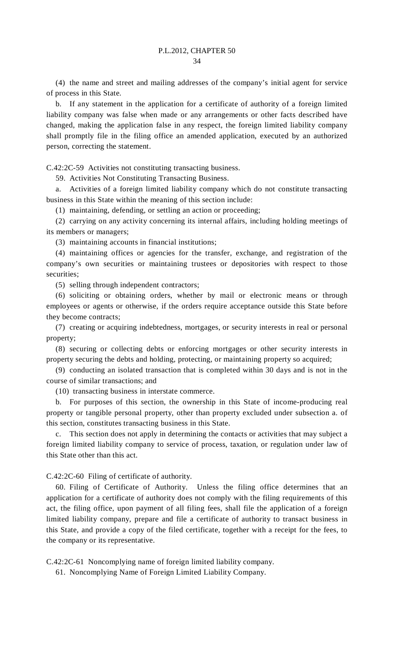(4) the name and street and mailing addresses of the company's initial agent for service of process in this State.

 b. If any statement in the application for a certificate of authority of a foreign limited liability company was false when made or any arrangements or other facts described have changed, making the application false in any respect, the foreign limited liability company shall promptly file in the filing office an amended application, executed by an authorized person, correcting the statement.

C.42:2C-59 Activities not constituting transacting business.

59. Activities Not Constituting Transacting Business.

 a. Activities of a foreign limited liability company which do not constitute transacting business in this State within the meaning of this section include:

(1) maintaining, defending, or settling an action or proceeding;

 (2) carrying on any activity concerning its internal affairs, including holding meetings of its members or managers;

(3) maintaining accounts in financial institutions;

 (4) maintaining offices or agencies for the transfer, exchange, and registration of the company's own securities or maintaining trustees or depositories with respect to those securities;

(5) selling through independent contractors;

 (6) soliciting or obtaining orders, whether by mail or electronic means or through employees or agents or otherwise, if the orders require acceptance outside this State before they become contracts;

 (7) creating or acquiring indebtedness, mortgages, or security interests in real or personal property;

 (8) securing or collecting debts or enforcing mortgages or other security interests in property securing the debts and holding, protecting, or maintaining property so acquired;

 (9) conducting an isolated transaction that is completed within 30 days and is not in the course of similar transactions; and

(10) transacting business in interstate commerce.

 b. For purposes of this section, the ownership in this State of income-producing real property or tangible personal property, other than property excluded under subsection a. of this section, constitutes transacting business in this State.

 c. This section does not apply in determining the contacts or activities that may subject a foreign limited liability company to service of process, taxation, or regulation under law of this State other than this act.

C.42:2C-60 Filing of certificate of authority.

 60. Filing of Certificate of Authority. Unless the filing office determines that an application for a certificate of authority does not comply with the filing requirements of this act, the filing office, upon payment of all filing fees, shall file the application of a foreign limited liability company, prepare and file a certificate of authority to transact business in this State, and provide a copy of the filed certificate, together with a receipt for the fees, to the company or its representative.

C.42:2C-61 Noncomplying name of foreign limited liability company.

61. Noncomplying Name of Foreign Limited Liability Company.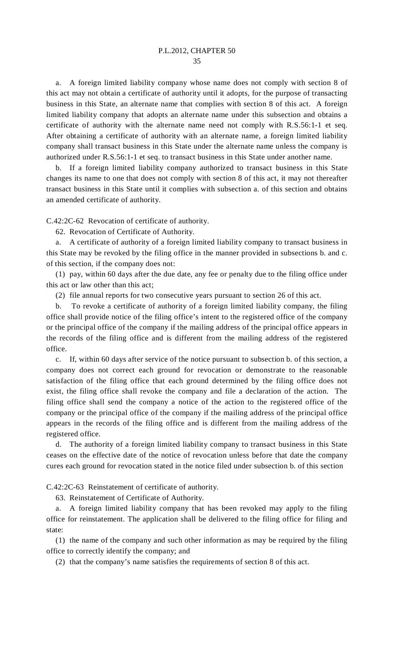a. A foreign limited liability company whose name does not comply with section 8 of this act may not obtain a certificate of authority until it adopts, for the purpose of transacting business in this State, an alternate name that complies with section 8 of this act. A foreign limited liability company that adopts an alternate name under this subsection and obtains a certificate of authority with the alternate name need not comply with R.S.56:1-1 et seq. After obtaining a certificate of authority with an alternate name, a foreign limited liability company shall transact business in this State under the alternate name unless the company is authorized under R.S.56:1-1 et seq. to transact business in this State under another name.

If a foreign limited liability company authorized to transact business in this State changes its name to one that does not comply with section 8 of this act, it may not thereafter transact business in this State until it complies with subsection a. of this section and obtains an amended certificate of authority.

C.42:2C-62 Revocation of certificate of authority.

62. Revocation of Certificate of Authority.

 a. A certificate of authority of a foreign limited liability company to transact business in this State may be revoked by the filing office in the manner provided in subsections b. and c. of this section, if the company does not:

 (1) pay, within 60 days after the due date, any fee or penalty due to the filing office under this act or law other than this act;

(2) file annual reports for two consecutive years pursuant to section 26 of this act.

 b. To revoke a certificate of authority of a foreign limited liability company, the filing office shall provide notice of the filing office's intent to the registered office of the company or the principal office of the company if the mailing address of the principal office appears in the records of the filing office and is different from the mailing address of the registered office.

 c. If, within 60 days after service of the notice pursuant to subsection b. of this section, a company does not correct each ground for revocation or demonstrate to the reasonable satisfaction of the filing office that each ground determined by the filing office does not exist, the filing office shall revoke the company and file a declaration of the action. The filing office shall send the company a notice of the action to the registered office of the company or the principal office of the company if the mailing address of the principal office appears in the records of the filing office and is different from the mailing address of the registered office.

 d. The authority of a foreign limited liability company to transact business in this State ceases on the effective date of the notice of revocation unless before that date the company cures each ground for revocation stated in the notice filed under subsection b. of this section

C.42:2C-63 Reinstatement of certificate of authority.

63. Reinstatement of Certificate of Authority.

 a. A foreign limited liability company that has been revoked may apply to the filing office for reinstatement. The application shall be delivered to the filing office for filing and state:

 (1) the name of the company and such other information as may be required by the filing office to correctly identify the company; and

(2) that the company's name satisfies the requirements of section 8 of this act.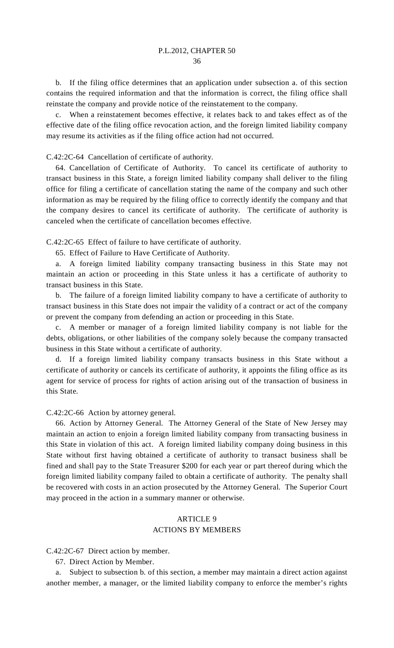b. If the filing office determines that an application under subsection a. of this section contains the required information and that the information is correct, the filing office shall reinstate the company and provide notice of the reinstatement to the company.

 c. When a reinstatement becomes effective, it relates back to and takes effect as of the effective date of the filing office revocation action, and the foreign limited liability company may resume its activities as if the filing office action had not occurred.

C.42:2C-64 Cancellation of certificate of authority.

 64. Cancellation of Certificate of Authority. To cancel its certificate of authority to transact business in this State, a foreign limited liability company shall deliver to the filing office for filing a certificate of cancellation stating the name of the company and such other information as may be required by the filing office to correctly identify the company and that the company desires to cancel its certificate of authority. The certificate of authority is canceled when the certificate of cancellation becomes effective.

C.42:2C-65 Effect of failure to have certificate of authority.

65. Effect of Failure to Have Certificate of Authority.

 a. A foreign limited liability company transacting business in this State may not maintain an action or proceeding in this State unless it has a certificate of authority to transact business in this State.

 b. The failure of a foreign limited liability company to have a certificate of authority to transact business in this State does not impair the validity of a contract or act of the company or prevent the company from defending an action or proceeding in this State.

 c. A member or manager of a foreign limited liability company is not liable for the debts, obligations, or other liabilities of the company solely because the company transacted business in this State without a certificate of authority.

 d. If a foreign limited liability company transacts business in this State without a certificate of authority or cancels its certificate of authority, it appoints the filing office as its agent for service of process for rights of action arising out of the transaction of business in this State.

C.42:2C-66 Action by attorney general.

 66. Action by Attorney General. The Attorney General of the State of New Jersey may maintain an action to enjoin a foreign limited liability company from transacting business in this State in violation of this act. A foreign limited liability company doing business in this State without first having obtained a certificate of authority to transact business shall be fined and shall pay to the State Treasurer \$200 for each year or part thereof during which the foreign limited liability company failed to obtain a certificate of authority. The penalty shall be recovered with costs in an action prosecuted by the Attorney General. The Superior Court may proceed in the action in a summary manner or otherwise.

# ARTICLE 9 ACTIONS BY MEMBERS

C.42:2C-67 Direct action by member.

67. Direct Action by Member.

 a. Subject to subsection b. of this section, a member may maintain a direct action against another member, a manager, or the limited liability company to enforce the member's rights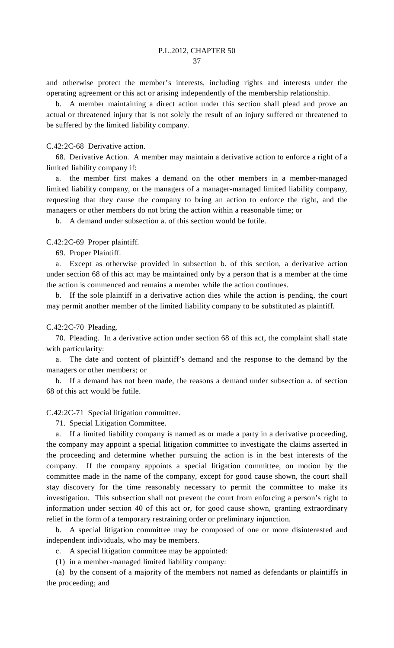and otherwise protect the member's interests, including rights and interests under the operating agreement or this act or arising independently of the membership relationship.

 b. A member maintaining a direct action under this section shall plead and prove an actual or threatened injury that is not solely the result of an injury suffered or threatened to be suffered by the limited liability company.

C.42:2C-68 Derivative action.

 68. Derivative Action. A member may maintain a derivative action to enforce a right of a limited liability company if:

 a. the member first makes a demand on the other members in a member-managed limited liability company, or the managers of a manager-managed limited liability company, requesting that they cause the company to bring an action to enforce the right, and the managers or other members do not bring the action within a reasonable time; or

b. A demand under subsection a. of this section would be futile.

C.42:2C-69 Proper plaintiff.

69. Proper Plaintiff.

 a. Except as otherwise provided in subsection b. of this section, a derivative action under section 68 of this act may be maintained only by a person that is a member at the time the action is commenced and remains a member while the action continues.

 b. If the sole plaintiff in a derivative action dies while the action is pending, the court may permit another member of the limited liability company to be substituted as plaintiff.

C.42:2C-70 Pleading.

 70. Pleading. In a derivative action under section 68 of this act, the complaint shall state with particularity:

 a. The date and content of plaintiff's demand and the response to the demand by the managers or other members; or

 b. If a demand has not been made, the reasons a demand under subsection a. of section 68 of this act would be futile.

C.42:2C-71 Special litigation committee.

71. Special Litigation Committee.

 a. If a limited liability company is named as or made a party in a derivative proceeding, the company may appoint a special litigation committee to investigate the claims asserted in the proceeding and determine whether pursuing the action is in the best interests of the company. If the company appoints a special litigation committee, on motion by the committee made in the name of the company, except for good cause shown, the court shall stay discovery for the time reasonably necessary to permit the committee to make its investigation. This subsection shall not prevent the court from enforcing a person's right to information under section 40 of this act or, for good cause shown, granting extraordinary relief in the form of a temporary restraining order or preliminary injunction.

 b. A special litigation committee may be composed of one or more disinterested and independent individuals, who may be members.

c. A special litigation committee may be appointed:

(1) in a member-managed limited liability company:

 (a) by the consent of a majority of the members not named as defendants or plaintiffs in the proceeding; and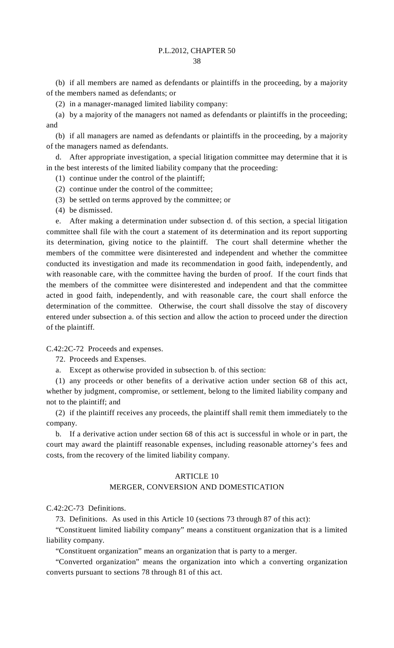(b) if all members are named as defendants or plaintiffs in the proceeding, by a majority of the members named as defendants; or

(2) in a manager-managed limited liability company:

 (a) by a majority of the managers not named as defendants or plaintiffs in the proceeding; and

 (b) if all managers are named as defendants or plaintiffs in the proceeding, by a majority of the managers named as defendants.

 d. After appropriate investigation, a special litigation committee may determine that it is in the best interests of the limited liability company that the proceeding:

(1) continue under the control of the plaintiff;

(2) continue under the control of the committee;

(3) be settled on terms approved by the committee; or

(4) be dismissed.

 e. After making a determination under subsection d. of this section, a special litigation committee shall file with the court a statement of its determination and its report supporting its determination, giving notice to the plaintiff. The court shall determine whether the members of the committee were disinterested and independent and whether the committee conducted its investigation and made its recommendation in good faith, independently, and with reasonable care, with the committee having the burden of proof. If the court finds that the members of the committee were disinterested and independent and that the committee acted in good faith, independently, and with reasonable care, the court shall enforce the determination of the committee. Otherwise, the court shall dissolve the stay of discovery entered under subsection a. of this section and allow the action to proceed under the direction of the plaintiff.

C.42:2C-72 Proceeds and expenses.

72. Proceeds and Expenses.

a. Except as otherwise provided in subsection b. of this section:

 (1) any proceeds or other benefits of a derivative action under section 68 of this act, whether by judgment, compromise, or settlement, belong to the limited liability company and not to the plaintiff; and

 (2) if the plaintiff receives any proceeds, the plaintiff shall remit them immediately to the company.

 b. If a derivative action under section 68 of this act is successful in whole or in part, the court may award the plaintiff reasonable expenses, including reasonable attorney's fees and costs, from the recovery of the limited liability company.

#### ARTICLE 10

# MERGER, CONVERSION AND DOMESTICATION

C.42:2C-73 Definitions.

73. Definitions. As used in this Article 10 (sections 73 through 87 of this act):

 "Constituent limited liability company" means a constituent organization that is a limited liability company.

"Constituent organization" means an organization that is party to a merger.

 "Converted organization" means the organization into which a converting organization converts pursuant to sections 78 through 81 of this act.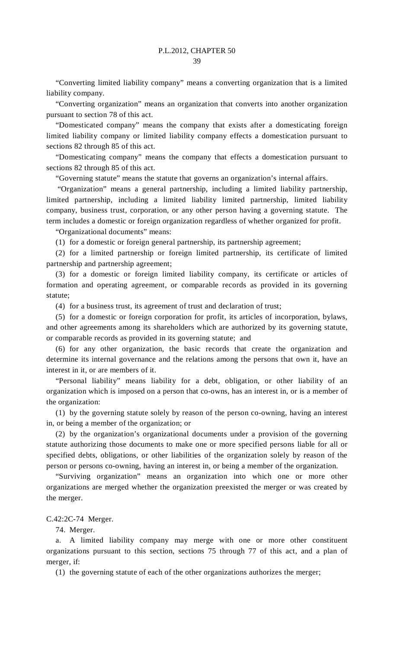"Converting limited liability company" means a converting organization that is a limited liability company.

 "Converting organization" means an organization that converts into another organization pursuant to section 78 of this act.

 "Domesticated company" means the company that exists after a domesticating foreign limited liability company or limited liability company effects a domestication pursuant to sections 82 through 85 of this act.

 "Domesticating company" means the company that effects a domestication pursuant to sections 82 through 85 of this act.

"Governing statute" means the statute that governs an organization's internal affairs.

 "Organization" means a general partnership, including a limited liability partnership, limited partnership, including a limited liability limited partnership, limited liability company, business trust, corporation, or any other person having a governing statute. The term includes a domestic or foreign organization regardless of whether organized for profit.

"Organizational documents" means:

(1) for a domestic or foreign general partnership, its partnership agreement;

 (2) for a limited partnership or foreign limited partnership, its certificate of limited partnership and partnership agreement;

 (3) for a domestic or foreign limited liability company, its certificate or articles of formation and operating agreement, or comparable records as provided in its governing statute;

(4) for a business trust, its agreement of trust and declaration of trust;

 (5) for a domestic or foreign corporation for profit, its articles of incorporation, bylaws, and other agreements among its shareholders which are authorized by its governing statute, or comparable records as provided in its governing statute; and

 (6) for any other organization, the basic records that create the organization and determine its internal governance and the relations among the persons that own it, have an interest in it, or are members of it.

 "Personal liability" means liability for a debt, obligation, or other liability of an organization which is imposed on a person that co-owns, has an interest in, or is a member of the organization:

 (1) by the governing statute solely by reason of the person co-owning, having an interest in, or being a member of the organization; or

 (2) by the organization's organizational documents under a provision of the governing statute authorizing those documents to make one or more specified persons liable for all or specified debts, obligations, or other liabilities of the organization solely by reason of the person or persons co-owning, having an interest in, or being a member of the organization.

 "Surviving organization" means an organization into which one or more other organizations are merged whether the organization preexisted the merger or was created by the merger.

## C.42:2C-74 Merger.

74. Merger.

 a. A limited liability company may merge with one or more other constituent organizations pursuant to this section, sections 75 through 77 of this act, and a plan of merger, if:

(1) the governing statute of each of the other organizations authorizes the merger;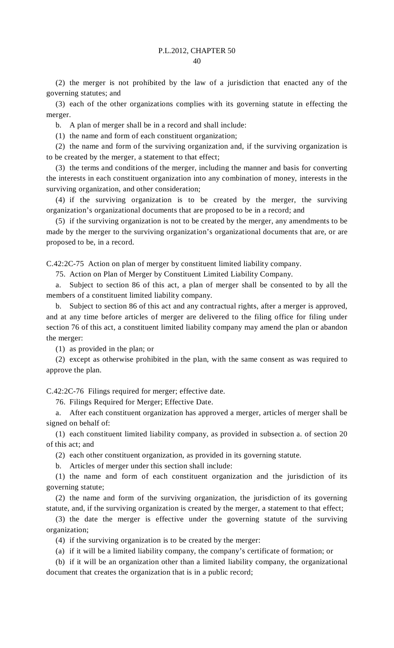(2) the merger is not prohibited by the law of a jurisdiction that enacted any of the governing statutes; and

 (3) each of the other organizations complies with its governing statute in effecting the merger.

b. A plan of merger shall be in a record and shall include:

(1) the name and form of each constituent organization;

 (2) the name and form of the surviving organization and, if the surviving organization is to be created by the merger, a statement to that effect;

 (3) the terms and conditions of the merger, including the manner and basis for converting the interests in each constituent organization into any combination of money, interests in the surviving organization, and other consideration;

 (4) if the surviving organization is to be created by the merger, the surviving organization's organizational documents that are proposed to be in a record; and

 (5) if the surviving organization is not to be created by the merger, any amendments to be made by the merger to the surviving organization's organizational documents that are, or are proposed to be, in a record.

C.42:2C-75 Action on plan of merger by constituent limited liability company.

75. Action on Plan of Merger by Constituent Limited Liability Company.

 a. Subject to section 86 of this act, a plan of merger shall be consented to by all the members of a constituent limited liability company.

 b. Subject to section 86 of this act and any contractual rights, after a merger is approved, and at any time before articles of merger are delivered to the filing office for filing under section 76 of this act, a constituent limited liability company may amend the plan or abandon the merger:

(1) as provided in the plan; or

 (2) except as otherwise prohibited in the plan, with the same consent as was required to approve the plan.

C.42:2C-76 Filings required for merger; effective date.

76. Filings Required for Merger; Effective Date.

 a. After each constituent organization has approved a merger, articles of merger shall be signed on behalf of:

 (1) each constituent limited liability company, as provided in subsection a. of section 20 of this act; and

(2) each other constituent organization, as provided in its governing statute.

b. Articles of merger under this section shall include:

 (1) the name and form of each constituent organization and the jurisdiction of its governing statute;

 (2) the name and form of the surviving organization, the jurisdiction of its governing statute, and, if the surviving organization is created by the merger, a statement to that effect;

 (3) the date the merger is effective under the governing statute of the surviving organization;

(4) if the surviving organization is to be created by the merger:

(a) if it will be a limited liability company, the company's certificate of formation; or

 (b) if it will be an organization other than a limited liability company, the organizational document that creates the organization that is in a public record;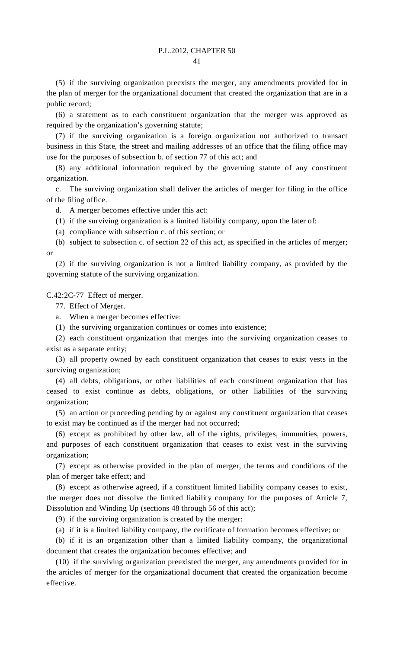(5) if the surviving organization preexists the merger, any amendments provided for in the plan of merger for the organizational document that created the organization that are in a public record;

 (6) a statement as to each constituent organization that the merger was approved as required by the organization's governing statute;

 (7) if the surviving organization is a foreign organization not authorized to transact business in this State, the street and mailing addresses of an office that the filing office may use for the purposes of subsection b. of section 77 of this act; and

 (8) any additional information required by the governing statute of any constituent organization.

 c. The surviving organization shall deliver the articles of merger for filing in the office of the filing office.

d. A merger becomes effective under this act:

(1) if the surviving organization is a limited liability company, upon the later of:

(a) compliance with subsection c. of this section; or

 (b) subject to subsection c. of section 22 of this act, as specified in the articles of merger; or

 (2) if the surviving organization is not a limited liability company, as provided by the governing statute of the surviving organization.

C.42:2C-77 Effect of merger.

77. Effect of Merger.

a. When a merger becomes effective:

(1) the surviving organization continues or comes into existence;

 (2) each constituent organization that merges into the surviving organization ceases to exist as a separate entity;

 (3) all property owned by each constituent organization that ceases to exist vests in the surviving organization;

 (4) all debts, obligations, or other liabilities of each constituent organization that has ceased to exist continue as debts, obligations, or other liabilities of the surviving organization;

 (5) an action or proceeding pending by or against any constituent organization that ceases to exist may be continued as if the merger had not occurred;

 (6) except as prohibited by other law, all of the rights, privileges, immunities, powers, and purposes of each constituent organization that ceases to exist vest in the surviving organization;

 (7) except as otherwise provided in the plan of merger, the terms and conditions of the plan of merger take effect; and

 (8) except as otherwise agreed, if a constituent limited liability company ceases to exist, the merger does not dissolve the limited liability company for the purposes of Article 7, Dissolution and Winding Up (sections 48 through 56 of this act);

(9) if the surviving organization is created by the merger:

(a) if it is a limited liability company, the certificate of formation becomes effective; or

 (b) if it is an organization other than a limited liability company, the organizational document that creates the organization becomes effective; and

 (10) if the surviving organization preexisted the merger, any amendments provided for in the articles of merger for the organizational document that created the organization become effective.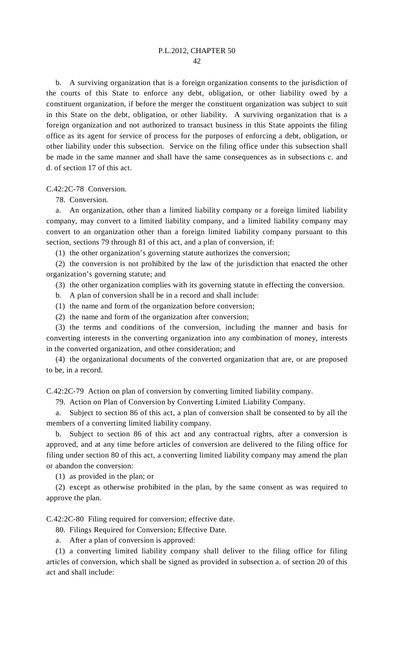b. A surviving organization that is a foreign organization consents to the jurisdiction of the courts of this State to enforce any debt, obligation, or other liability owed by a constituent organization, if before the merger the constituent organization was subject to suit in this State on the debt, obligation, or other liability. A surviving organization that is a foreign organization and not authorized to transact business in this State appoints the filing office as its agent for service of process for the purposes of enforcing a debt, obligation, or other liability under this subsection. Service on the filing office under this subsection shall be made in the same manner and shall have the same consequences as in subsections c. and d. of section 17 of this act.

C.42:2C-78 Conversion.

78. Conversion.

 a. An organization, other than a limited liability company or a foreign limited liability company, may convert to a limited liability company, and a limited liability company may convert to an organization other than a foreign limited liability company pursuant to this section, sections 79 through 81 of this act, and a plan of conversion, if:

(1) the other organization's governing statute authorizes the conversion;

 (2) the conversion is not prohibited by the law of the jurisdiction that enacted the other organization's governing statute; and

(3) the other organization complies with its governing statute in effecting the conversion.

b. A plan of conversion shall be in a record and shall include:

(1) the name and form of the organization before conversion;

(2) the name and form of the organization after conversion;

 (3) the terms and conditions of the conversion, including the manner and basis for converting interests in the converting organization into any combination of money, interests in the converted organization, and other consideration; and

 (4) the organizational documents of the converted organization that are, or are proposed to be, in a record.

C.42:2C-79 Action on plan of conversion by converting limited liability company.

79. Action on Plan of Conversion by Converting Limited Liability Company.

 a. Subject to section 86 of this act, a plan of conversion shall be consented to by all the members of a converting limited liability company.

 b. Subject to section 86 of this act and any contractual rights, after a conversion is approved, and at any time before articles of conversion are delivered to the filing office for filing under section 80 of this act, a converting limited liability company may amend the plan or abandon the conversion:

(1) as provided in the plan; or

 (2) except as otherwise prohibited in the plan, by the same consent as was required to approve the plan.

C.42:2C-80 Filing required for conversion; effective date.

80. Filings Required for Conversion; Effective Date.

a. After a plan of conversion is approved:

 (1) a converting limited liability company shall deliver to the filing office for filing articles of conversion, which shall be signed as provided in subsection a. of section 20 of this act and shall include: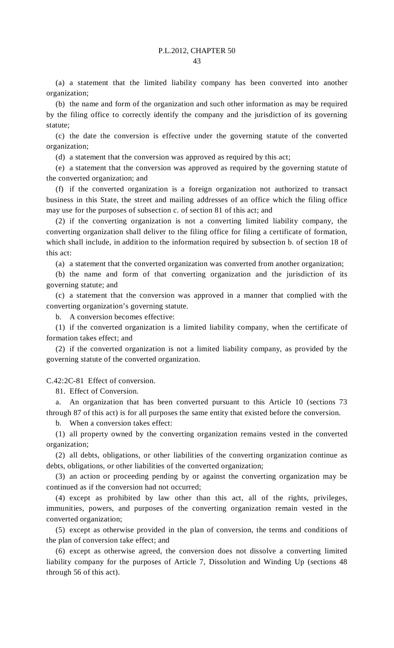(a) a statement that the limited liability company has been converted into another organization;

 (b) the name and form of the organization and such other information as may be required by the filing office to correctly identify the company and the jurisdiction of its governing statute;

 (c) the date the conversion is effective under the governing statute of the converted organization;

(d) a statement that the conversion was approved as required by this act;

 (e) a statement that the conversion was approved as required by the governing statute of the converted organization; and

 (f) if the converted organization is a foreign organization not authorized to transact business in this State, the street and mailing addresses of an office which the filing office may use for the purposes of subsection c. of section 81 of this act; and

 (2) if the converting organization is not a converting limited liability company, the converting organization shall deliver to the filing office for filing a certificate of formation, which shall include, in addition to the information required by subsection b. of section 18 of this act:

(a) a statement that the converted organization was converted from another organization;

 (b) the name and form of that converting organization and the jurisdiction of its governing statute; and

 (c) a statement that the conversion was approved in a manner that complied with the converting organization's governing statute.

b. A conversion becomes effective:

 (1) if the converted organization is a limited liability company, when the certificate of formation takes effect; and

 (2) if the converted organization is not a limited liability company, as provided by the governing statute of the converted organization.

C.42:2C-81 Effect of conversion.

81. Effect of Conversion.

 a. An organization that has been converted pursuant to this Article 10 (sections 73 through 87 of this act) is for all purposes the same entity that existed before the conversion.

b. When a conversion takes effect:

 (1) all property owned by the converting organization remains vested in the converted organization;

 (2) all debts, obligations, or other liabilities of the converting organization continue as debts, obligations, or other liabilities of the converted organization;

 (3) an action or proceeding pending by or against the converting organization may be continued as if the conversion had not occurred;

 (4) except as prohibited by law other than this act, all of the rights, privileges, immunities, powers, and purposes of the converting organization remain vested in the converted organization;

 (5) except as otherwise provided in the plan of conversion, the terms and conditions of the plan of conversion take effect; and

 (6) except as otherwise agreed, the conversion does not dissolve a converting limited liability company for the purposes of Article 7, Dissolution and Winding Up (sections 48 through 56 of this act).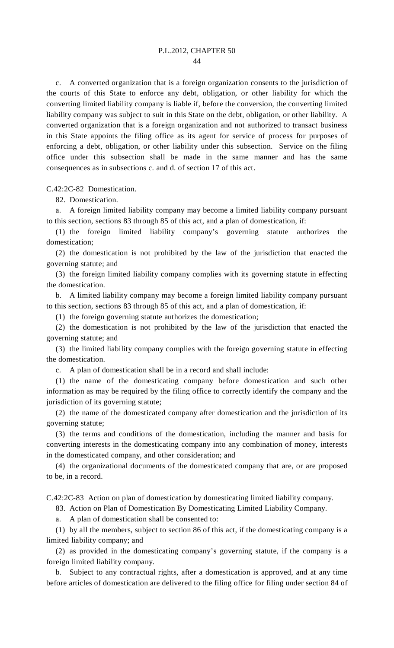c. A converted organization that is a foreign organization consents to the jurisdiction of the courts of this State to enforce any debt, obligation, or other liability for which the converting limited liability company is liable if, before the conversion, the converting limited liability company was subject to suit in this State on the debt, obligation, or other liability. A converted organization that is a foreign organization and not authorized to transact business in this State appoints the filing office as its agent for service of process for purposes of enforcing a debt, obligation, or other liability under this subsection. Service on the filing office under this subsection shall be made in the same manner and has the same consequences as in subsections c. and d. of section 17 of this act.

C.42:2C-82 Domestication.

82. Domestication.

 a. A foreign limited liability company may become a limited liability company pursuant to this section, sections 83 through 85 of this act, and a plan of domestication, if:

 (1) the foreign limited liability company's governing statute authorizes the domestication;

 (2) the domestication is not prohibited by the law of the jurisdiction that enacted the governing statute; and

 (3) the foreign limited liability company complies with its governing statute in effecting the domestication.

 b. A limited liability company may become a foreign limited liability company pursuant to this section, sections 83 through 85 of this act, and a plan of domestication, if:

(1) the foreign governing statute authorizes the domestication;

 (2) the domestication is not prohibited by the law of the jurisdiction that enacted the governing statute; and

 (3) the limited liability company complies with the foreign governing statute in effecting the domestication.

c. A plan of domestication shall be in a record and shall include:

 (1) the name of the domesticating company before domestication and such other information as may be required by the filing office to correctly identify the company and the jurisdiction of its governing statute;

 (2) the name of the domesticated company after domestication and the jurisdiction of its governing statute;

 (3) the terms and conditions of the domestication, including the manner and basis for converting interests in the domesticating company into any combination of money, interests in the domesticated company, and other consideration; and

 (4) the organizational documents of the domesticated company that are, or are proposed to be, in a record.

C.42:2C-83 Action on plan of domestication by domesticating limited liability company.

83. Action on Plan of Domestication By Domesticating Limited Liability Company.

a. A plan of domestication shall be consented to:

 (1) by all the members, subject to section 86 of this act, if the domesticating company is a limited liability company; and

 (2) as provided in the domesticating company's governing statute, if the company is a foreign limited liability company.

 b. Subject to any contractual rights, after a domestication is approved, and at any time before articles of domestication are delivered to the filing office for filing under section 84 of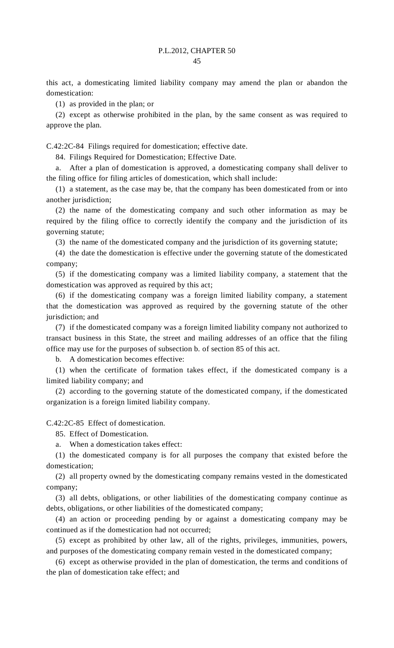this act, a domesticating limited liability company may amend the plan or abandon the domestication:

(1) as provided in the plan; or

 (2) except as otherwise prohibited in the plan, by the same consent as was required to approve the plan.

C.42:2C-84 Filings required for domestication; effective date.

84. Filings Required for Domestication; Effective Date.

 a. After a plan of domestication is approved, a domesticating company shall deliver to the filing office for filing articles of domestication, which shall include:

 (1) a statement, as the case may be, that the company has been domesticated from or into another jurisdiction;

 (2) the name of the domesticating company and such other information as may be required by the filing office to correctly identify the company and the jurisdiction of its governing statute;

(3) the name of the domesticated company and the jurisdiction of its governing statute;

 (4) the date the domestication is effective under the governing statute of the domesticated company;

 (5) if the domesticating company was a limited liability company, a statement that the domestication was approved as required by this act;

 (6) if the domesticating company was a foreign limited liability company, a statement that the domestication was approved as required by the governing statute of the other jurisdiction; and

 (7) if the domesticated company was a foreign limited liability company not authorized to transact business in this State, the street and mailing addresses of an office that the filing office may use for the purposes of subsection b. of section 85 of this act.

b. A domestication becomes effective:

 (1) when the certificate of formation takes effect, if the domesticated company is a limited liability company; and

 (2) according to the governing statute of the domesticated company, if the domesticated organization is a foreign limited liability company.

C.42:2C-85 Effect of domestication.

85. Effect of Domestication.

a. When a domestication takes effect:

 (1) the domesticated company is for all purposes the company that existed before the domestication;

 (2) all property owned by the domesticating company remains vested in the domesticated company;

 (3) all debts, obligations, or other liabilities of the domesticating company continue as debts, obligations, or other liabilities of the domesticated company;

 (4) an action or proceeding pending by or against a domesticating company may be continued as if the domestication had not occurred;

 (5) except as prohibited by other law, all of the rights, privileges, immunities, powers, and purposes of the domesticating company remain vested in the domesticated company;

 (6) except as otherwise provided in the plan of domestication, the terms and conditions of the plan of domestication take effect; and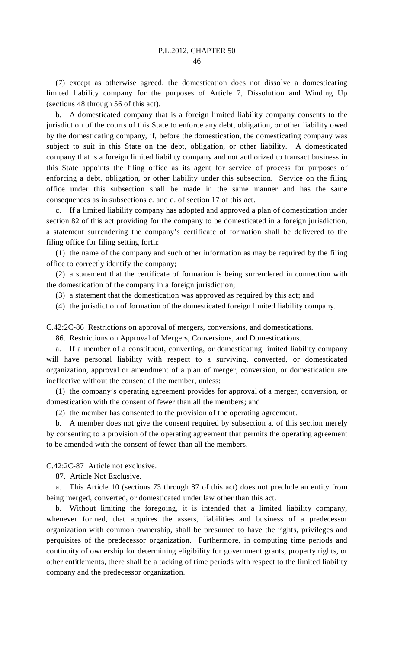(7) except as otherwise agreed, the domestication does not dissolve a domesticating limited liability company for the purposes of Article 7, Dissolution and Winding Up (sections 48 through 56 of this act).

 b. A domesticated company that is a foreign limited liability company consents to the jurisdiction of the courts of this State to enforce any debt, obligation, or other liability owed by the domesticating company, if, before the domestication, the domesticating company was subject to suit in this State on the debt, obligation, or other liability. A domesticated company that is a foreign limited liability company and not authorized to transact business in this State appoints the filing office as its agent for service of process for purposes of enforcing a debt, obligation, or other liability under this subsection. Service on the filing office under this subsection shall be made in the same manner and has the same consequences as in subsections c. and d. of section 17 of this act.

 c. If a limited liability company has adopted and approved a plan of domestication under section 82 of this act providing for the company to be domesticated in a foreign jurisdiction, a statement surrendering the company's certificate of formation shall be delivered to the filing office for filing setting forth:

 (1) the name of the company and such other information as may be required by the filing office to correctly identify the company;

 (2) a statement that the certificate of formation is being surrendered in connection with the domestication of the company in a foreign jurisdiction;

(3) a statement that the domestication was approved as required by this act; and

(4) the jurisdiction of formation of the domesticated foreign limited liability company.

C.42:2C-86 Restrictions on approval of mergers, conversions, and domestications.

86. Restrictions on Approval of Mergers, Conversions, and Domestications.

 a. If a member of a constituent, converting, or domesticating limited liability company will have personal liability with respect to a surviving, converted, or domesticated organization, approval or amendment of a plan of merger, conversion, or domestication are ineffective without the consent of the member, unless:

 (1) the company's operating agreement provides for approval of a merger, conversion, or domestication with the consent of fewer than all the members; and

(2) the member has consented to the provision of the operating agreement.

 b. A member does not give the consent required by subsection a. of this section merely by consenting to a provision of the operating agreement that permits the operating agreement to be amended with the consent of fewer than all the members.

C.42:2C-87 Article not exclusive.

87. Article Not Exclusive.

 a. This Article 10 (sections 73 through 87 of this act) does not preclude an entity from being merged, converted, or domesticated under law other than this act.

 b. Without limiting the foregoing, it is intended that a limited liability company, whenever formed, that acquires the assets, liabilities and business of a predecessor organization with common ownership, shall be presumed to have the rights, privileges and perquisites of the predecessor organization. Furthermore, in computing time periods and continuity of ownership for determining eligibility for government grants, property rights, or other entitlements, there shall be a tacking of time periods with respect to the limited liability company and the predecessor organization.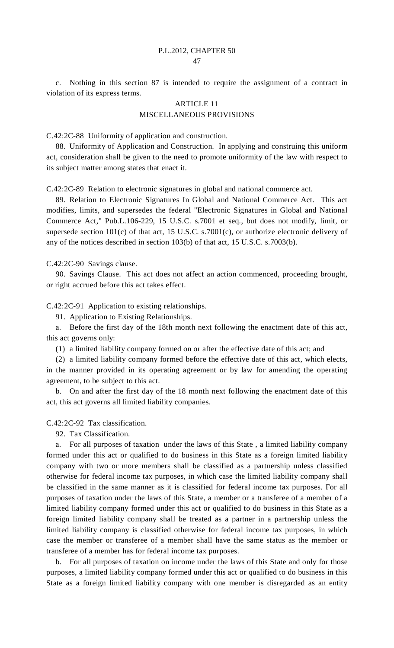c. Nothing in this section 87 is intended to require the assignment of a contract in violation of its express terms.

# ARTICLE 11 MISCELLANEOUS PROVISIONS

C.42:2C-88 Uniformity of application and construction.

 88. Uniformity of Application and Construction. In applying and construing this uniform act, consideration shall be given to the need to promote uniformity of the law with respect to its subject matter among states that enact it.

C.42:2C-89 Relation to electronic signatures in global and national commerce act.

 89. Relation to Electronic Signatures In Global and National Commerce Act. This act modifies, limits, and supersedes the federal "Electronic Signatures in Global and National Commerce Act," Pub.L.106-229, 15 U.S.C. s.7001 et seq., but does not modify, limit, or supersede section 101(c) of that act, 15 U.S.C. s.7001(c), or authorize electronic delivery of any of the notices described in section 103(b) of that act, 15 U.S.C. s.7003(b).

C.42:2C-90 Savings clause.

 90. Savings Clause. This act does not affect an action commenced, proceeding brought, or right accrued before this act takes effect.

C.42:2C-91 Application to existing relationships.

91. Application to Existing Relationships.

 a. Before the first day of the 18th month next following the enactment date of this act, this act governs only:

(1) a limited liability company formed on or after the effective date of this act; and

 (2) a limited liability company formed before the effective date of this act, which elects, in the manner provided in its operating agreement or by law for amending the operating agreement, to be subject to this act.

 b. On and after the first day of the 18 month next following the enactment date of this act, this act governs all limited liability companies.

C.42:2C-92 Tax classification.

92. Tax Classification.

 a. For all purposes of taxation under the laws of this State , a limited liability company formed under this act or qualified to do business in this State as a foreign limited liability company with two or more members shall be classified as a partnership unless classified otherwise for federal income tax purposes, in which case the limited liability company shall be classified in the same manner as it is classified for federal income tax purposes. For all purposes of taxation under the laws of this State, a member or a transferee of a member of a limited liability company formed under this act or qualified to do business in this State as a foreign limited liability company shall be treated as a partner in a partnership unless the limited liability company is classified otherwise for federal income tax purposes, in which case the member or transferee of a member shall have the same status as the member or transferee of a member has for federal income tax purposes.

 b. For all purposes of taxation on income under the laws of this State and only for those purposes, a limited liability company formed under this act or qualified to do business in this State as a foreign limited liability company with one member is disregarded as an entity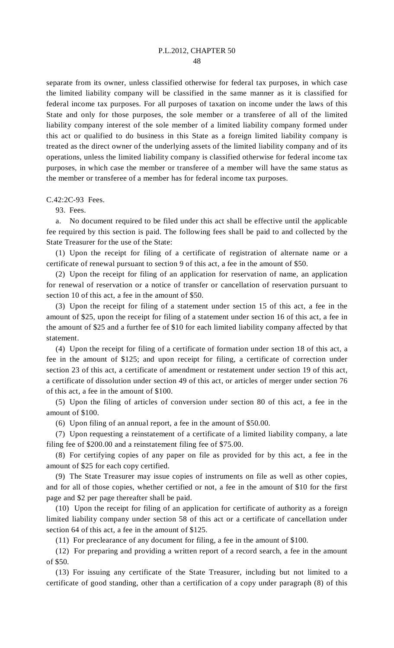separate from its owner, unless classified otherwise for federal tax purposes, in which case the limited liability company will be classified in the same manner as it is classified for federal income tax purposes. For all purposes of taxation on income under the laws of this State and only for those purposes, the sole member or a transferee of all of the limited liability company interest of the sole member of a limited liability company formed under this act or qualified to do business in this State as a foreign limited liability company is treated as the direct owner of the underlying assets of the limited liability company and of its operations, unless the limited liability company is classified otherwise for federal income tax purposes, in which case the member or transferee of a member will have the same status as the member or transferee of a member has for federal income tax purposes.

C.42:2C-93 Fees.

93. Fees.

 a. No document required to be filed under this act shall be effective until the applicable fee required by this section is paid. The following fees shall be paid to and collected by the State Treasurer for the use of the State:

 (1) Upon the receipt for filing of a certificate of registration of alternate name or a certificate of renewal pursuant to section 9 of this act, a fee in the amount of \$50.

 (2) Upon the receipt for filing of an application for reservation of name, an application for renewal of reservation or a notice of transfer or cancellation of reservation pursuant to section 10 of this act, a fee in the amount of \$50.

 (3) Upon the receipt for filing of a statement under section 15 of this act, a fee in the amount of \$25, upon the receipt for filing of a statement under section 16 of this act, a fee in the amount of \$25 and a further fee of \$10 for each limited liability company affected by that statement.

 (4) Upon the receipt for filing of a certificate of formation under section 18 of this act, a fee in the amount of \$125; and upon receipt for filing, a certificate of correction under section 23 of this act, a certificate of amendment or restatement under section 19 of this act, a certificate of dissolution under section 49 of this act, or articles of merger under section 76 of this act, a fee in the amount of \$100.

 (5) Upon the filing of articles of conversion under section 80 of this act, a fee in the amount of \$100.

(6) Upon filing of an annual report, a fee in the amount of \$50.00.

 (7) Upon requesting a reinstatement of a certificate of a limited liability company, a late filing fee of \$200.00 and a reinstatement filing fee of \$75.00.

 (8) For certifying copies of any paper on file as provided for by this act, a fee in the amount of \$25 for each copy certified.

 (9) The State Treasurer may issue copies of instruments on file as well as other copies, and for all of those copies, whether certified or not, a fee in the amount of \$10 for the first page and \$2 per page thereafter shall be paid.

 (10) Upon the receipt for filing of an application for certificate of authority as a foreign limited liability company under section 58 of this act or a certificate of cancellation under section 64 of this act, a fee in the amount of \$125.

(11) For preclearance of any document for filing, a fee in the amount of \$100.

 (12) For preparing and providing a written report of a record search, a fee in the amount of \$50.

 (13) For issuing any certificate of the State Treasurer, including but not limited to a certificate of good standing, other than a certification of a copy under paragraph (8) of this